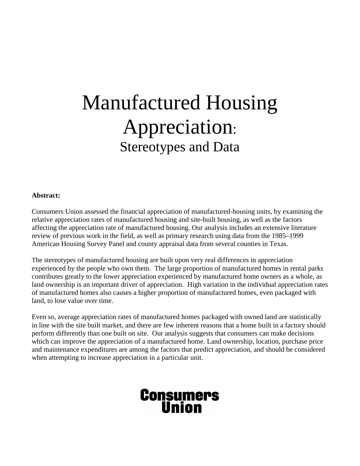# Manufactured Housing Appreciation: Stereotypes and Data

## **Abstract:**

Consumers Union assessed the financial appreciation of manufactured-housing units, by examining the relative appreciation rates of manufactured housing and site-built housing, as well as the factors affecting the appreciation rate of manufactured housing. Our analysis includes an extensive literature review of previous work in the field, as well as primary research using data from the 1985–1999 American Housing Survey Panel and county appraisal data from several counties in Texas.

The stereotypes of manufactured housing are built upon very real differences in appreciation experienced by the people who own them. The large proportion of manufactured homes in rental parks contributes greatly to the lower appreciation experienced by manufactured home owners as a whole, as land ownership is an important driver of appreciation. High variation in the individual appreciation rates of manufactured homes also causes a higher proportion of manufactured homes, even packaged with land, to lose value over time.

Even so, average appreciation rates of manufactured homes packaged with owned land are statistically in line with the site built market, and there are few inherent reasons that a home built in a factory should perform differently than one built on site. Our analysis suggests that consumers can make decisions which can improve the appreciation of a manufactured home. Land ownership, location, purchase price and maintenance expenditures are among the factors that predict appreciation, and should be considered when attempting to increase appreciation in a particular unit.

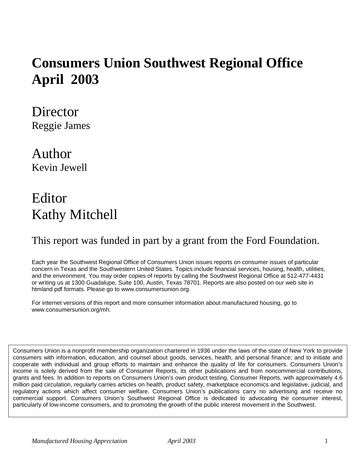## **Consumers Union Southwest Regional Office April 2003**

**Director** Reggie James

Author Kevin Jewell

## Editor Kathy Mitchell

## This report was funded in part by a grant from the Ford Foundation.

Each year the Southwest Regional Office of Consumers Union issues reports on consumer issues of particular concern in Texas and the Southwestern United States. Topics include financial services, housing, health, utilities, and the environment. You may order copies of reports by calling the Southwest Regional Office at 512-477-4431 or writing us at 1300 Guadalupe, Suite 100, Austin, Texas 78701. Reports are also posted on our web site in htmland pdf formats. Please go to www.consumersunion.org.

For internet versions of this report and more consumer information about manufactured housing, go to www.consumersunion.org/mh.

Consumers Union is a nonprofit membership organization chartered in 1936 under the laws of the state of New York to provide consumers with information, education, and counsel about goods, services, health, and personal finance; and to initiate and cooperate with individual and group efforts to maintain and enhance the quality of life for consumers. Consumers Union's income is solely derived from the sale of Consumer Reports, its other publications and from noncommercial contributions, grants and fees. In addition to reports on Consumers Union's own product testing, Consumer Reports, with approximately 4.6 million paid circulation, regularly carries articles on health, product safety, marketplace economics and legislative, judicial, and regulatory actions which affect consumer welfare. Consumers Union's publications carry no advertising and receive no commercial support. Consumers Union's Southwest Regional Office is dedicated to advocating the consumer interest, particularly of low-income consumers, and to promoting the growth of the public interest movement in the Southwest.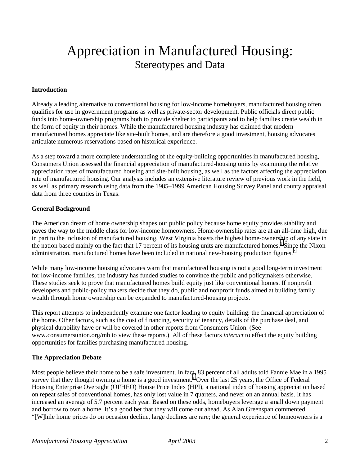## Appreciation in Manufactured Housing: Stereotypes and Data

## **Introduction**

Already a leading alternative to conventional housing for low-income homebuyers, manufactured housing often qualifies for use in government programs as well as private-sector development. Public officials direct public funds into home-ownership programs both to provide shelter to participants and to help families create wealth in the form of equity in their homes. While the manufactured-housing industry has claimed that modern manufactured homes appreciate like site-built homes, and are therefore a good investment, housing advocates articulate numerous reservations based on historical experience.

As a step toward a more complete understanding of the equity-building opportunities in manufactured housing, Consumers Union assessed the financial appreciation of manufactured-housing units by examining the relative appreciation rates of manufactured housing and site-built housing, as well as the factors affecting the appreciation rate of manufactured housing. Our analysis includes an extensive literature review of previous work in the field, as well as primary research using data from the 1985–1999 American Housing Survey Panel and county appraisal data from three counties in Texas.

## **General Background**

The American dream of home ownership shapes our public policy because home equity provides stability and paves the way to the middle class for low-income homeowners. Home-ownership rates are at an all-time high, due in part to the inclusion of manufactured housing. West Virginia boasts the highest home-ownership of any state in the nation based mainly on the fact that [1](#page-43-0)7 percent of its housing units are manufactured homes.<sup>1</sup> Since the Nixon administration, manufactured homes have been included in national new-housing production figures.<sup>[2](#page-43-0)</sup>

While many low-income housing advocates warn that manufactured housing is not a good long-term investment for low-income families, the industry has funded studies to convince the public and policymakers otherwise. These studies seek to prove that manufactured homes build equity just like conventional homes. If nonprofit developers and public-policy makers decide that they do, public and nonprofit funds aimed at building family wealth through home ownership can be expanded to manufactured-housing projects.

This report attempts to independently examine one factor leading to equity building: the financial appreciation of the home. Other factors, such as the cost of financing, security of tenancy, details of the purchase deal, and physical durability have or will be covered in other reports from Consumers Union. (See www.consumersunion.org/mh to view these reports.) All of these factors *interact* to effect the equity building opportunities for families purchasing manufactured housing.

## **The Appreciation Debate**

Most people believe their home to be a safe investment. In fact, 83 percent of all adults told Fannie Mae in a 1995 survey that they thought owning a home is a good investment.<sup>[3](#page-43-0)</sup> Over the last 25 years, the Office of Federal Housing Enterprise Oversight (OFHEO) House Price Index (HPI), a national index of housing appreciation based on repeat sales of conventional homes, has only lost value in 7 quarters, and never on an annual basis. It has increased an average of 5.7 percent each year. Based on these odds, homebuyers leverage a small down payment and borrow to own a home. It's a good bet that they will come out ahead. As Alan Greenspan commented, "[W]hile home prices do on occasion decline, large declines are rare; the general experience of homeowners is a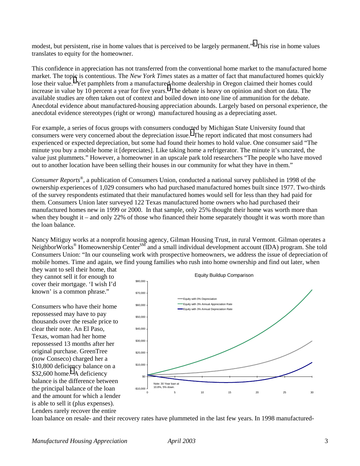modest, but persistent, rise in home values that is perceived to be largely permanent."<sup>[4](#page-43-0)</sup> This rise in home values translates to equity for the homeowner.

This confidence in appreciation has not transferred from the conventional home market to the manufactured home market. The top[ic](#page-43-0) is contentious. The *New York Times* states as a matter of fact that manufactured homes quickly lose their value.<sup>5</sup> Yet pamphlets from a manufactured-home dealership in Oregon claimed their homes could increase in value by 10 percent a year for five years.<sup>[6](#page-43-0)</sup> The debate is heavy on opinion and short on data. The available studies are often taken out of context and boiled down into one line of ammunition for the debate. Anecdotal evidence about manufactured-housing appreciation abounds. Largely based on personal experience, the anecdotal evidence stereotypes (right or wrong) manufactured housing as a depreciating asset.

For example, a series of focus groups with consumers condu[cte](#page-43-0)d by Michigan State University found that consumers were very concerned about the depreciation issue.<sup>7</sup> The report indicated that most consumers had experienced or expected depreciation, but some had found their homes to hold value. One consumer said "The minute you buy a mobile home it [depreciates]. Like taking home a refrigerator. The minute it's uncrated, the value just plummets." However, a homeowner in an upscale park told researchers "The people who have moved out to another location have been selling their houses in our community for what they have in them."

*Consumer Reports*®*,* a publication of Consumers Union, conducted a national survey published in 1998 of the ownership experiences of 1,029 consumers who had purchased manufactured homes built since 1977. Two-thirds of the survey respondents estimated that their manufactured homes would sell for less than they had paid for them. Consumers Union later surveyed 122 Texas manufactured home owners who had purchased their manufactured homes new in 1999 or 2000. In that sample, only 25% thought their home was worth more than when they bought it – and only 22% of those who financed their home separately thought it was worth more than the loan balance.

Nancy Mitiguy works at a nonprofit housing agency, Gilman Housing Trust, in rural Vermont. Gilman operates a NeighborWorks<sup>®</sup> Homeownership Center<sup>SM</sup> and a small individual development account (IDA) program. She told Consumers Union: "In our counseling work with prospective homeowners, we address the issue of depreciation of mobile homes. Time and again, we find young families who rush into home ownership and find out later, when they want to sell their home, that

they cannot sell it for enough to cover their mortgage. 'I wish I'd known' is a common phrase."

Consumers who have their home repossessed may have to pay thousands over the resale price to clear their note. An El Paso, Texas, woman had her home repossessed 13 months after her original purchase. GreenTree (now Conseco) charged her a \$10,800 deficiency balance on a \$32,600 home.<sup>[8](#page-43-0)</sup> A deficiency balance is the difference between the principal balance of the loan and the amount for which a lender is able to sell it (plus expenses). Lenders rarely recover the entire



loan balance on resale- and their recovery rates have plummeted in the last few years. In 1998 manufactured-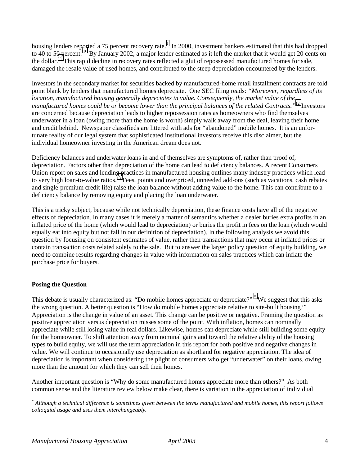housing lenders reported a 75 percent recovery rate.<sup>[9](#page-43-0)</sup> In 2000, investment bankers estimated that this had dropped to 40 to 50 percent.<sup>10</sup> By January 2002, a major lender estimated as it left the market that it would get 20 cents on the dollar.<sup>11</sup> This rapid decline in recovery rates reflected a glut of repossessed manufactured homes for sale, damaged the resale value of used homes, and contributed to the steep depreciation encountered by the lenders.

Investors in the secondary market for securities backed by manufactured-home retail installment contracts are told point blank by lenders that manufactured homes depreciate. One SEC filing reads: *"Moreover, regardless of its location, manufactured housing generally depreciates in value. Consequently, the market value of the manufactured homes could be or become lower than the principal balances of the related Contracts."*[12](#page-43-0) Investors are concerned because depreciation leads to higher repossession rates as homeowners who find themselves underwater in a loan (owing more than the home is worth) simply walk away from the deal, leaving their home and credit behind. Newspaper classifieds are littered with ads for "abandoned" mobile homes. It is an unfortunate reality of our legal system that sophisticated institutional investors receive this disclaimer, but the individual homeowner investing in the American dream does not.

Deficiency balances and underwater loans in and of themselves are symptoms of, rather than proof of, depreciation. Factors other than depreciation of the home can lead to deficiency balances. A recent Consumers Union report on sales and lending practices in manufactured housing outlines many industry practices which lead to very high loan-to-value ratios.<sup>13</sup> Fees, points and overpriced, unneeded add-ons (such as vacations, cash rebates and single-premium credit life) raise the loan balance without adding value to the home. This can contribute to a deficiency balance by removing equity and placing the loan underwater.

This is a tricky subject, because while not technically depreciation, these finance costs have all of the negative effects of depreciation. In many cases it is merely a matter of semantics whether a dealer buries extra profits in an inflated price of the home (which would lead to depreciation) or buries the profit in fees on the loan (which would equally eat into equity but not fall in our definition of depreciation). In the following analysis we avoid this question by focusing on consistent estimates of value, rather then transactions that may occur at inflated prices or contain transaction costs related solely to the sale. But to answer the larger policy question of equity building, we need to combine results regarding changes in value with information on sales practices which can inflate the purchase price for buyers.

## **Posing the Question**

 $\overline{a}$ 

This debate is usually characterized as: "Do mobile homes appreciate or depreciate?"<sup>\*</sup> We suggest that this asks the wrong question. A better question is "How do mobile homes appreciate relative to site-built housing?" Appreciation is the change in value of an asset. This change can be positive or negative. Framing the question as positive appreciation versus depreciation misses some of the point. With inflation, homes can nominally appreciate while still losing value in real dollars. Likewise, homes can depreciate while still building some equity for the homeowner. To shift attention away from nominal gains and toward the relative ability of the housing types to build equity, we will use the term appreciation in this report for both positive and negative changes in value. We will continue to occasionally use depreciation as shorthand for negative appreciation. The idea of depreciation is important when considering the plight of consumers who get "underwater" on their loans, owing more than the amount for which they can sell their homes.

Another important question is "Why do some manufactured homes appreciate more than others?" As both common sense and the literature review below make clear, there is variation in the appreciation of individual

<sup>\*</sup> *Although a technical difference is sometimes given between the terms manufactured and mobile homes, this report follows colloquial usage and uses them interchangeably.*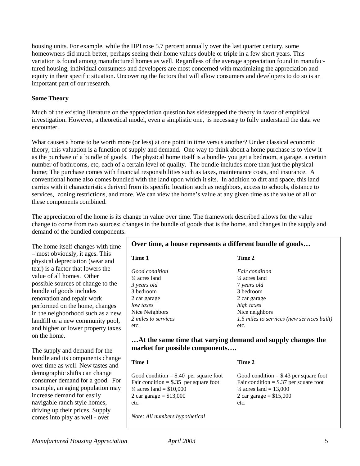housing units. For example, while the HPI rose 5.7 percent annually over the last quarter century, some homeowners did much better, perhaps seeing their home values double or triple in a few short years. This variation is found among manufactured homes as well. Regardless of the average appreciation found in manufactured housing, individual consumers and developers are most concerned with maximizing the appreciation and equity in their specific situation. Uncovering the factors that will allow consumers and developers to do so is an important part of our research.

## **Some Theory**

Much of the existing literature on the appreciation question has sidestepped the theory in favor of empirical investigation. However, a theoretical model, even a simplistic one, is necessary to fully understand the data we encounter.

What causes a home to be worth more (or less) at one point in time versus another? Under classical economic theory, this valuation is a function of supply and demand. One way to think about a home purchase is to view it as the purchase of a bundle of goods. The physical home itself is a bundle- you get a bedroom, a garage, a certain number of bathrooms, etc, each of a certain level of quality. The bundle includes more than just the physical home; The purchase comes with financial responsibilities such as taxes, maintenance costs, and insurance. A conventional home also comes bundled with the land upon which it sits. In addition to dirt and space, this land carries with it characteristics derived from its specific location such as neighbors, access to schools, distance to services, zoning restrictions, and more. We can view the home's value at any given time as the value of all of these components combined.

The appreciation of the home is its change in value over time. The framework described allows for the value change to come from two sources: changes in the bundle of goods that is the home, and changes in the supply and demand of the bundled components.

The home itself changes with time – most obviously, it ages. This physical depreciation (wear and tear) is a factor that lowers the value of all homes. Other possible sources of change to the bundle of goods includes renovation and repair work performed on the home, changes in the neighborhood such as a new landfill or a new community pool, and higher or lower property taxes on the home.

The supply and demand for the bundle and its components change over time as well. New tastes and demographic shifts can change consumer demand for a good. For example, an aging population may increase demand for easily navigable ranch style homes, driving up their prices. Supply comes into play as well - over

## **Over time, a house represents a different bundle of goods…**

| Time 1              | Time 2                                     |
|---------------------|--------------------------------------------|
| Good condition      | <i>Fair condition</i>                      |
| 1/4 acres land      | $\frac{1}{4}$ acres land                   |
| 3 years old         | 7 years old                                |
| 3 bedroom           | 3 bedroom                                  |
| 2 car garage        | 2 car garage                               |
| low taxes           | high taxes                                 |
| Nice Neighbors      | Nice neighbors                             |
| 2 miles to services | 1.5 miles to services (new services built) |
| etc.                | etc.                                       |

## **…At the same time that varying demand and supply changes the market for possible components….**

| Time 1                                                                                                                                                          | Time 2                                                                                                                                                       |
|-----------------------------------------------------------------------------------------------------------------------------------------------------------------|--------------------------------------------------------------------------------------------------------------------------------------------------------------|
| Good condition $= $.40$ per square foot<br>Fair condition = $\$$ .35 per square foot<br>$\frac{1}{4}$ acres land = \$10,000<br>2 car garage = $$13,000$<br>etc. | Good condition $=$ \$.43 per square foot<br>Fair condition = $$.37$ per square foot<br>$\frac{1}{4}$ acres land = 13,000<br>2 car garage = $$15,000$<br>etc. |
| Note: All numbers hypothetical                                                                                                                                  |                                                                                                                                                              |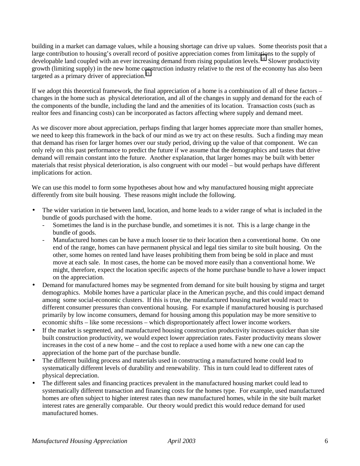building in a market can damage values, while a housing shortage can drive up values. Some theorists posit that a large contribution to housing's overall record of positive appreciation comes from limitations to the supply of developable land coupled with an ever increasing demand from rising population levels.<sup>14</sup> Slower productivity growth (limiting supply) in the new home construction industry relative to the rest of the economy has also been targeted as a primary driver of appreciation.<sup>[15](#page-43-0)</sup>

If we adopt this theoretical framework, the final appreciation of a home is a combination of all of these factors – changes in the home such as physical deterioration, and all of the changes in supply and demand for the each of the components of the bundle, including the land and the amenities of its location. Transaction costs (such as realtor fees and financing costs) can be incorporated as factors affecting where supply and demand meet.

As we discover more about appreciation, perhaps finding that larger homes appreciate more than smaller homes, we need to keep this framework in the back of our mind as we try act on these results. Such a finding may mean that demand has risen for larger homes over our study period, driving up the value of that component. We can only rely on this past performance to predict the future if we assume that the demographics and tastes that drive demand will remain constant into the future. Another explanation, that larger homes may be built with better materials that resist physical deterioration, is also congruent with our model – but would perhaps have different implications for action.

We can use this model to form some hypotheses about how and why manufactured housing might appreciate differently from site built housing. These reasons might include the following.

- The wider variation in tie between land, location, and home leads to a wider range of what is included in the bundle of goods purchased with the home.
	- Sometimes the land is in the purchase bundle, and sometimes it is not. This is a large change in the bundle of goods.
	- Manufactured homes can be have a much looser tie to their location then a conventional home. On one end of the range, homes can have permanent physical and legal ties similar to site built housing. On the other, some homes on rented land have leases prohibiting them from being be sold in place and must move at each sale. In most cases, the home can be moved more easily than a conventional home. We might, therefore, expect the location specific aspects of the home purchase bundle to have a lower impact on the appreciation.
- Demand for manufactured homes may be segmented from demand for site built housing by stigma and target demographics. Mobile homes have a particular place in the American psyche, and this could impact demand among some social-economic clusters. If this is true, the manufactured housing market would react to different consumer pressures than conventional housing. For example if manufactured housing is purchased primarily by low income consumers, demand for housing among this population may be more sensitive to economic shifts – like some recessions – which disproportionately affect lower income workers.
- If the market is segmented, and manufactured housing construction productivity increases quicker than site built construction productivity, we would expect lower appreciation rates. Faster productivity means slower increases in the cost of a new home – and the cost to replace a used home with a new one can cap the appreciation of the home part of the purchase bundle.
- The different building process and materials used in constructing a manufactured home could lead to systematically different levels of durability and renewability. This in turn could lead to different rates of physical depreciation.
- The different sales and financing practices prevalent in the manufactured housing market could lead to systematically different transaction and financing costs for the homes type. For example, used manufactured homes are often subject to higher interest rates than new manufactured homes, while in the site built market interest rates are generally comparable. Our theory would predict this would reduce demand for used manufactured homes.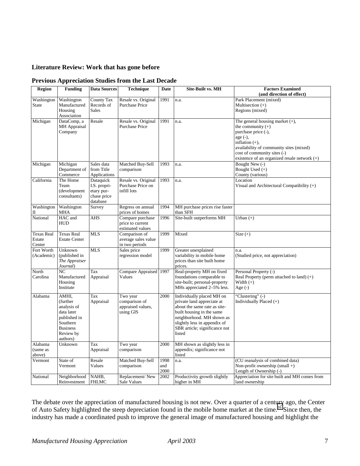## **Literature Review: Work that has gone before**

| <b>Region</b>                         | <b>Funding</b>                                                                                                         | <b>Data Sources</b>                                                | <b>Technique</b>                                            | Date                | <b>Site-Built vs. MH</b>                                                                                                                                                                                                     | <b>Factors Examined</b><br>(and direction of effect)                                                                                                                                                                                           |
|---------------------------------------|------------------------------------------------------------------------------------------------------------------------|--------------------------------------------------------------------|-------------------------------------------------------------|---------------------|------------------------------------------------------------------------------------------------------------------------------------------------------------------------------------------------------------------------------|------------------------------------------------------------------------------------------------------------------------------------------------------------------------------------------------------------------------------------------------|
| Washington<br><b>State</b>            | Washington<br>Manufactured<br>Housing<br>Association                                                                   | County Tax<br>Records of<br><b>Sales</b>                           | Resale vs. Original<br><b>Purchase Price</b>                | 1991                | n.a.                                                                                                                                                                                                                         | Park Placement (mixed)<br>Multisection $(+)$<br>Regions (mixed)                                                                                                                                                                                |
| Michigan                              | DataComp, a<br>MH Appraisal<br>Company                                                                                 | Resale                                                             | Resale vs. Original<br><b>Purchase Price</b>                | 1991                | n.a.                                                                                                                                                                                                                         | The general housing market $(+)$ ,<br>the community $(+)$<br>purchase price (-),<br>age $(-)$ ,<br>inflation $(+)$ ,<br>availability of community sites (mixed)<br>cost of community sites (-)<br>existence of an organized resale network (+) |
| Michigan                              | Michigan<br>Department of<br>Commerce                                                                                  | Sales data<br>from Title<br>Applications                           | Matched Buy-Sell<br>comparison                              | 1993                | n.a.                                                                                                                                                                                                                         | Bought New (-)<br>Bought Used (+)<br>County (various)                                                                                                                                                                                          |
| California                            | The Home<br>Team<br>(development<br>consultants)                                                                       | Dataquick<br>I.S. propri-<br>etary pur-<br>chase price<br>database | Resale vs. Original<br>Purchase Price on<br>infill lots     | 1993                | n.a.                                                                                                                                                                                                                         | Location<br>Visual and Architectural Compatibility $(+)$                                                                                                                                                                                       |
| Washington<br>П                       | Washington<br><b>MHA</b>                                                                                               | Survey                                                             | Regress on annual<br>prices of homes                        | 1994                | MH purchase prices rise faster<br>than SFH                                                                                                                                                                                   |                                                                                                                                                                                                                                                |
| National                              | HAC and<br><b>HUD</b>                                                                                                  | <b>AHS</b>                                                         | Compare purchase<br>price to current<br>estimated values    | 1996                | Site-built outperforms MH                                                                                                                                                                                                    | Urban $(+)$                                                                                                                                                                                                                                    |
| <b>Texas Real</b><br>Estate<br>Center | <b>Texas Real</b><br><b>Estate Center</b>                                                                              | <b>MLS</b>                                                         | Comparison of<br>average sales value<br>in two periods      | 1999                | Mixed                                                                                                                                                                                                                        | Size $(+)$                                                                                                                                                                                                                                     |
| Fort Worth<br>(Academic)              | Unknown<br>(published in<br>The Appraiser<br>Journal)                                                                  | <b>MLS</b>                                                         | Sales price<br>regression model                             | 1999                | Greater unexplained<br>variability in mobile home<br>prices than site built home<br>prices.                                                                                                                                  | n.a.<br>(Studied price, not appreciation)                                                                                                                                                                                                      |
| North<br>Carolina                     | N <sub>C</sub><br>Manufactured<br>Housing<br>Institute                                                                 | Tax<br>Appraisal                                                   | Compare Appraised 1997<br>Values                            |                     | Real-property MH on fixed<br>foundations comparable to<br>site-built; personal-property<br>MHs appreciated 2–5% less.                                                                                                        | Personal Property (-)<br>Real Property (perm attached to land) $(+)$<br>Width $(+)$<br>Age $(-)$                                                                                                                                               |
| Alabama                               | AMHI,<br>(further<br>analysis of<br>data later<br>published in<br>Southern<br><b>Business</b><br>Review by<br>authors) | Tax<br>Appraisal                                                   | Two year<br>comparison of<br>appraised values,<br>using GIS | 2000                | Individually placed MH on<br>private land appreciate at<br>about the same rate as site-<br>built housing in the same<br>neighborhood. MH shown as<br>slightly less in appendix of<br>SBR article; significance not<br>listed | "Clustering" (-)<br>Individually Placed $(+)$                                                                                                                                                                                                  |
| Alabama<br>(same as<br>above)         | Unknown                                                                                                                | Tax<br>Appraisal                                                   | Two year<br>comparison                                      | 2000                | MH shown as slightly less in<br>appendix; significance not<br>listed                                                                                                                                                         |                                                                                                                                                                                                                                                |
| Vermont                               | State of<br>Vermont                                                                                                    | Resale<br>Values                                                   | Matched Buy-Sell<br>comparison                              | 1998<br>and<br>2000 | n.a.                                                                                                                                                                                                                         | (CU reanalysis of combined data)<br>Non-profit ownership $(small +)$<br>Length of Ownership (-)                                                                                                                                                |
| National                              | Neighborhood<br>Reinvestment                                                                                           | NAHB,<br><b>FHLMC</b>                                              | Replacement/New<br>Sale Values                              | 2002                | Productivity growth slightly<br>higher in MH                                                                                                                                                                                 | Appreciation for site built and MH comes from<br>land ownership                                                                                                                                                                                |

## **Previous Appreciation Studies from the Last Decade**

The debate over the appreciation of manufactured housing is not new. Over a quarter of a century ago, the Center of Auto Safety highlighted the steep depreciation found in the mobile home market at the time.<sup>16</sup> Since then, the industry has made a coordinated push to improve the general image of manufactured housing and highlight the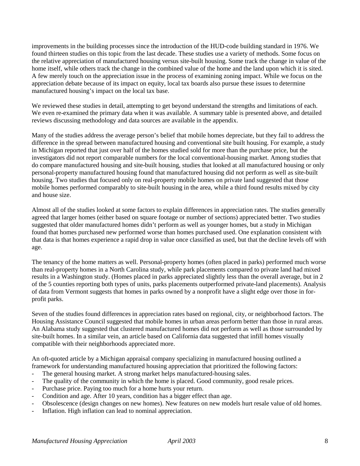improvements in the building processes since the introduction of the HUD-code building standard in 1976. We found thirteen studies on this topic from the last decade. These studies use a variety of methods. Some focus on the relative appreciation of manufactured housing versus site-built housing. Some track the change in value of the home itself, while others track the change in the combined value of the home and the land upon which it is sited. A few merely touch on the appreciation issue in the process of examining zoning impact. While we focus on the appreciation debate because of its impact on equity, local tax boards also pursue these issues to determine manufactured housing's impact on the local tax base.

We reviewed these studies in detail, attempting to get beyond understand the strengths and limitations of each. We even re-examined the primary data when it was available. A summary table is presented above, and detailed reviews discussing methodology and data sources are available in the appendix.

Many of the studies address the average person's belief that mobile homes depreciate, but they fail to address the difference in the spread between manufactured housing and conventional site built housing. For example, a study in Michigan reported that just over half of the homes studied sold for more than the purchase price, but the investigators did not report comparable numbers for the local conventional-housing market. Among studies that do compare manufactured housing and site-built housing, studies that looked at all manufactured housing or only personal-property manufactured housing found that manufactured housing did not perform as well as site-built housing. Two studies that focused only on real-property mobile homes on private land suggested that those mobile homes performed comparably to site-built housing in the area, while a third found results mixed by city and house size.

Almost all of the studies looked at some factors to explain differences in appreciation rates. The studies generally agreed that larger homes (either based on square footage or number of sections) appreciated better. Two studies suggested that older manufactured homes didn't perform as well as younger homes, but a study in Michigan found that homes purchased new performed worse than homes purchased used. One explanation consistent with that data is that homes experience a rapid drop in value once classified as used, but that the decline levels off with age.

The tenancy of the home matters as well. Personal-property homes (often placed in parks) performed much worse than real-property homes in a North Carolina study, while park placements compared to private land had mixed results in a Washington study. (Homes placed in parks appreciated slightly less than the overall average, but in 2 of the 5 counties reporting both types of units, parks placements outperformed private-land placements). Analysis of data from Vermont suggests that homes in parks owned by a nonprofit have a slight edge over those in forprofit parks.

Seven of the studies found differences in appreciation rates based on regional, city, or neighborhood factors. The Housing Assistance Council suggested that mobile homes in urban areas perform better than those in rural areas. An Alabama study suggested that clustered manufactured homes did not perform as well as those surrounded by site-built homes. In a similar vein, an article based on California data suggested that infill homes visually compatible with their neighborhoods appreciated more.

An oft-quoted article by a Michigan appraisal company specializing in manufactured housing outlined a framework for understanding manufactured housing appreciation that prioritized the following factors:

- The general housing market. A strong market helps manufactured-housing sales.
- The quality of the community in which the home is placed. Good community, good resale prices.
- Purchase price. Paying too much for a home hurts your return.
- Condition and age. After 10 years, condition has a bigger effect than age.
- Obsolescence (design changes on new homes). New features on new models hurt resale value of old homes.
- Inflation. High inflation can lead to nominal appreciation.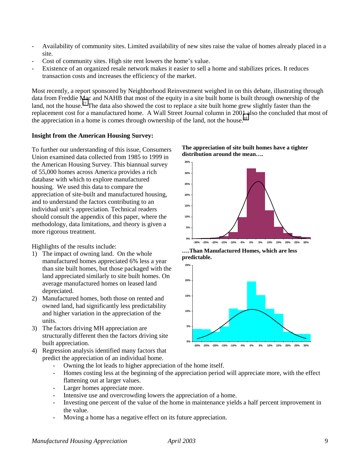- Availability of community sites. Limited availability of new sites raise the value of homes already placed in a site.
- Cost of community sites. High site rent lowers the home's value.
- Existence of an organized resale network makes it easier to sell a home and stabilizes prices. It reduces transaction costs and increases the efficiency of the market.

Most recently, a report sponsored by Neighborhood Reinvestment weighed in on this debate, illustrating through data from Freddie Mac and NAHB that most of the equity in a site built home is built through ownership of the land, not the house.<sup>17</sup> The data also showed the cost to replace a site built home grew slightly faster than the replacement cost for a manufactured home. A Wall Street Journal column in 2001 also the concluded that most of the appreciation in a home is comes through ownership of the land, not the house.<sup>18</sup>

## **Insight from the American Housing Survey:**

To further our understanding of this issue, Consumers Union examined data collected from 1985 to 1999 in the American Housing Survey. This biannual survey of 55,000 homes across America provides a rich database with which to explore manufactured housing. We used this data to compare the appreciation of site-built and manufactured housing, and to understand the factors contributing to an individual unit's appreciation. Technical readers should consult the appendix of this paper, where the methodology, data limitations, and theory is given a more rigorous treatment.

Highlights of the results include:

- 1) The impact of owning land. On the whole manufactured homes appreciated 6% less a year than site built homes, but those packaged with the land appreciated similarly to site built homes. On average manufactured homes on leased land depreciated.
- 2) Manufactured homes, both those on rented and owned land, had significantly less predictability and higher variation in the appreciation of the units.
- 3) The factors driving MH appreciation are structurally different then the factors driving site built appreciation.
- 4) Regression analysis identified many factors that predict the appreciation of an individual home.

**The appreciation of site built homes have a tighter distribution around the mean….**



**….Than Manufactured Homes, which are less predictable.**



- Owning the lot leads to higher appreciation of the home itself.
- Homes costing less at the beginning of the appreciation period will appreciate more, with the effect flattening out at larger values.
- Larger homes appreciate more.
- Intensive use and overcrowding lowers the appreciation of a home.
- Investing one percent of the value of the home in maintenance yields a half percent improvement in the value.
- Moving a home has a negative effect on its future appreciation.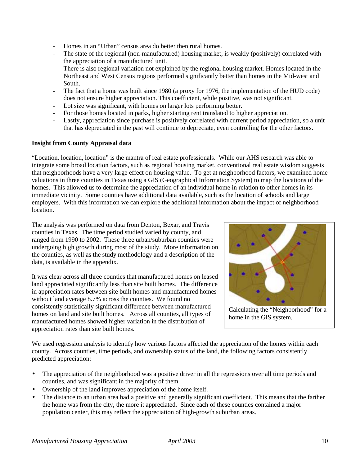- Homes in an "Urban" census area do better then rural homes.
- The state of the regional (non-manufactured) housing market, is weakly (positively) correlated with the appreciation of a manufactured unit.
- There is also regional variation not explained by the regional housing market. Homes located in the Northeast and West Census regions performed significantly better than homes in the Mid-west and South.
- The fact that a home was built since 1980 (a proxy for 1976, the implementation of the HUD code) does not ensure higher appreciation. This coefficient, while positive, was not significant.
- Lot size was significant, with homes on larger lots performing better.
- For those homes located in parks, higher starting rent translated to higher appreciation.
- Lastly, appreciation since purchase is positively correlated with current period appreciation, so a unit that has depreciated in the past will continue to depreciate, even controlling for the other factors.

## **Insight from County Appraisal data**

"Location, location, location" is the mantra of real estate professionals. While our AHS research was able to integrate some broad location factors, such as regional housing market, conventional real estate wisdom suggests that neighborhoods have a very large effect on housing value. To get at neighborhood factors, we examined home valuations in three counties in Texas using a GIS (Geographical Information System) to map the locations of the homes. This allowed us to determine the appreciation of an individual home in relation to other homes in its immediate vicinity. Some counties have additional data available, such as the location of schools and large employers. With this information we can explore the additional information about the impact of neighborhood location.

The analysis was performed on data from Denton, Bexar, and Travis counties in Texas. The time period studied varied by county, and ranged from 1990 to 2002. These three urban/suburban counties were undergoing high growth during most of the study. More information on the counties, as well as the study methodology and a description of the data, is available in the appendix.

It was clear across all three counties that manufactured homes on leased land appreciated significantly less than site built homes. The difference in appreciation rates between site built homes and manufactured homes without land average 8.7% across the counties. We found no consistently statistically significant difference between manufactured homes on land and site built homes. Across all counties, all types of manufactured homes showed higher variation in the distribution of appreciation rates than site built homes.



We used regression analysis to identify how various factors affected the appreciation of the homes within each county. Across counties, time periods, and ownership status of the land, the following factors consistently predicted appreciation:

- The appreciation of the neighborhood was a positive driver in all the regressions over all time periods and counties, and was significant in the majority of them.
- Ownership of the land improves appreciation of the home itself.
- The distance to an urban area had a positive and generally significant coefficient. This means that the farther the home was from the city, the more it appreciated. Since each of these counties contained a major population center, this may reflect the appreciation of high-growth suburban areas.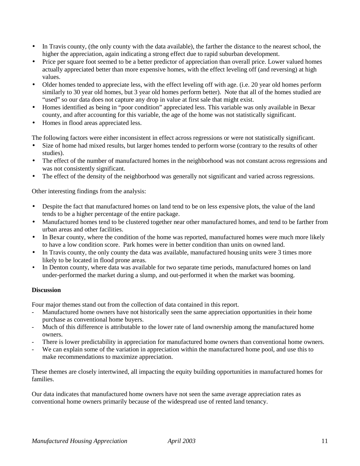- In Travis county, (the only county with the data available), the farther the distance to the nearest school, the higher the appreciation, again indicating a strong effect due to rapid suburban development.
- Price per square foot seemed to be a better predictor of appreciation than overall price. Lower valued homes actually appreciated better than more expensive homes, with the effect leveling off (and reversing) at high values.
- Older homes tended to appreciate less, with the effect leveling off with age. (i.e. 20 year old homes perform similarly to 30 year old homes, but 3 year old homes perform better). Note that all of the homes studied are "used" so our data does not capture any drop in value at first sale that might exist.
- Homes identified as being in "poor condition" appreciated less. This variable was only available in Bexar county, and after accounting for this variable, the age of the home was not statistically significant.
- Homes in flood areas appreciated less.

The following factors were either inconsistent in effect across regressions or were not statistically significant.

- Size of home had mixed results, but larger homes tended to perform worse (contrary to the results of other studies).
- The effect of the number of manufactured homes in the neighborhood was not constant across regressions and was not consistently significant.
- The effect of the density of the neighborhood was generally not significant and varied across regressions.

Other interesting findings from the analysis:

- Despite the fact that manufactured homes on land tend to be on less expensive plots, the value of the land tends to be a higher percentage of the entire package.
- Manufactured homes tend to be clustered together near other manufactured homes, and tend to be farther from urban areas and other facilities.
- In Bexar county, where the condition of the home was reported, manufactured homes were much more likely to have a low condition score. Park homes were in better condition than units on owned land.
- In Travis county, the only county the data was available, manufactured housing units were 3 times more likely to be located in flood prone areas.
- In Denton county, where data was available for two separate time periods, manufactured homes on land under-performed the market during a slump, and out-performed it when the market was booming.

## **Discussion**

Four major themes stand out from the collection of data contained in this report.

- Manufactured home owners have not historically seen the same appreciation opportunities in their home purchase as conventional home buyers.
- Much of this difference is attributable to the lower rate of land ownership among the manufactured home owners.
- There is lower predictability in appreciation for manufactured home owners than conventional home owners.
- We can explain some of the variation in appreciation within the manufactured home pool, and use this to make recommendations to maximize appreciation.

These themes are closely intertwined, all impacting the equity building opportunities in manufactured homes for families.

Our data indicates that manufactured home owners have not seen the same average appreciation rates as conventional home owners primarily because of the widespread use of rented land tenancy.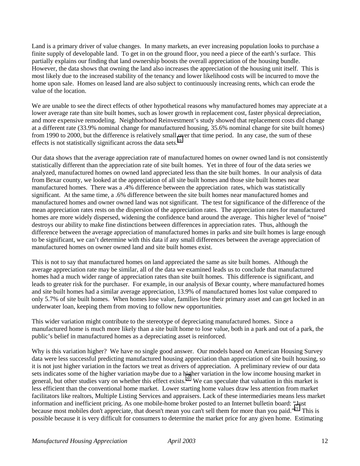Land is a primary driver of value changes. In many markets, an ever increasing population looks to purchase a finite supply of developable land. To get in on the ground floor, you need a piece of the earth's surface. This partially explains our finding that land ownership boosts the overall appreciation of the housing bundle. However, the data shows that owning the land also increases the appreciation of the housing unit itself. This is most likely due to the increased stability of the tenancy and lower likelihood costs will be incurred to move the home upon sale. Homes on leased land are also subject to continuously increasing rents, which can erode the value of the location.

We are unable to see the direct effects of other hypothetical reasons why manufactured homes may appreciate at a lower average rate than site built homes, such as lower growth in replacement cost, faster physical depreciation, and more expensive remodeling. Neighborhood Reinvestment's study showed that replacement costs did change at a different rate (33.9% nominal change for manufactured housing, 35.6% nominal change for site built homes) from 1990 to 2000, but the difference is relatively small over that time period. In any case, the sum of these effects is not statistically significant across the data sets.<sup>[19](#page-43-0)</sup>

Our data shows that the average appreciation rate of manufactured homes on owner owned land is not consistently statistically different than the appreciation rate of site built homes. Yet in three of four of the data series we analyzed, manufactured homes on owned land appreciated less than the site built homes. In our analysis of data from Bexar county, we looked at the appreciation of all site built homes and those site built homes near manufactured homes. There was a .4% difference between the appreciation rates, which was statistically significant. At the same time, a .6% difference between the site built homes near manufactured homes and manufactured homes and owner owned land was not significant. The test for significance of the difference of the mean appreciation rates rests on the dispersion of the appreciation rates. The appreciation rates for manufactured homes are more widely dispersed, widening the confidence band around the average. This higher level of "noise" destroys our ability to make fine distinctions between differences in appreciation rates. Thus, although the difference between the average appreciation of manufactured homes in parks and site built homes is large enough to be significant, we can't determine with this data if any small differences between the average appreciation of manufactured homes on owner owned land and site built homes exist.

This is not to say that manufactured homes on land appreciated the same as site built homes. Although the average appreciation rate may be similar, all of the data we examined leads us to conclude that manufactured homes had a much wider range of appreciation rates than site built homes. This difference is significant, and leads to greater risk for the purchaser. For example, in our analysis of Bexar county, where manufactured homes and site built homes had a similar average appreciation, 13.9% of manufactured homes lost value compared to only 5.7% of site built homes. When homes lose value, families lose their primary asset and can get locked in an underwater loan, keeping them from moving to follow new opportunities.

This wider variation might contribute to the stereotype of depreciating manufactured homes. Since a manufactured home is much more likely than a site built home to lose value, both in a park and out of a park, the public's belief in manufactured homes as a depreciating asset is reinforced.

Why is this variation higher? We have no single good answer. Our models based on American Housing Survey data were less successful predicting manufactured housing appreciation than appreciation of site built housing, so it is not just higher variation in the factors we treat as drivers of appreciation. A preliminary review of our data sets indicates some of the higher variation maybe due to a higher variation in the low income housing market in general, but other studies vary on whether this effect exists.<sup>20</sup> We can speculate that valuation in this market is less efficient than the conventional home market. Lower starting home values draw less attention from market facilitators like realtors, Multiple Listing Services and appraisers. Lack of these intermediaries means less market information and inefficient pricing. As one mobile-home broker posted to an Internet bulletin board: "Just because most mobiles don't appreciate, that doesn't mean you can't sell them for more than you paid."<sup>21</sup> This is possible because it is very difficult for consumers to determine the market price for any given home. Estimating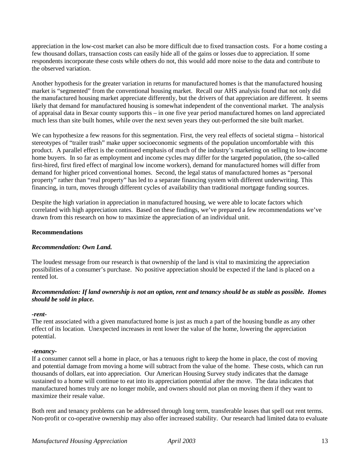appreciation in the low-cost market can also be more difficult due to fixed transaction costs. For a home costing a few thousand dollars, transaction costs can easily hide all of the gains or losses due to appreciation. If some respondents incorporate these costs while others do not, this would add more noise to the data and contribute to the observed variation.

Another hypothesis for the greater variation in returns for manufactured homes is that the manufactured housing market is "segmented" from the conventional housing market. Recall our AHS analysis found that not only did the manufactured housing market appreciate differently, but the drivers of that appreciation are different. It seems likely that demand for manufactured housing is somewhat independent of the conventional market. The analysis of appraisal data in Bexar county supports this – in one five year period manufactured homes on land appreciated much less than site built homes, while over the next seven years they out-performed the site built market.

We can hypothesize a few reasons for this segmentation. First, the very real effects of societal stigma – historical stereotypes of "trailer trash" make upper socioeconomic segments of the population uncomfortable with this product. A parallel effect is the continued emphasis of much of the industry's marketing on selling to low-income home buyers. In so far as employment and income cycles may differ for the targeted population, (the so-called first-hired, first fired effect of marginal low income workers), demand for manufactured homes will differ from demand for higher priced conventional homes. Second, the legal status of manufactured homes as "personal property" rather than "real property" has led to a separate financing system with different underwriting. This financing, in turn, moves through different cycles of availability than traditional mortgage funding sources.

Despite the high variation in appreciation in manufactured housing, we were able to locate factors which correlated with high appreciation rates. Based on these findings, we've prepared a few recommendations we've drawn from this research on how to maximize the appreciation of an individual unit.

## **Recommendations**

## *Recommendation: Own Land.*

The loudest message from our research is that ownership of the land is vital to maximizing the appreciation possibilities of a consumer's purchase. No positive appreciation should be expected if the land is placed on a rented lot.

## *Recommendation: If land ownership is not an option, rent and tenancy should be as stable as possible. Homes should be sold in place.*

#### *-rent-*

The rent associated with a given manufactured home is just as much a part of the housing bundle as any other effect of its location. Unexpected increases in rent lower the value of the home, lowering the appreciation potential.

#### *-tenancy-*

If a consumer cannot sell a home in place, or has a tenuous right to keep the home in place, the cost of moving and potential damage from moving a home will subtract from the value of the home. These costs, which can run thousands of dollars, eat into appreciation. Our American Housing Survey study indicates that the damage sustained to a home will continue to eat into its appreciation potential after the move. The data indicates that manufactured homes truly are no longer mobile, and owners should not plan on moving them if they want to maximize their resale value.

Both rent and tenancy problems can be addressed through long term, transferable leases that spell out rent terms. Non-profit or co-operative ownership may also offer increased stability. Our research had limited data to evaluate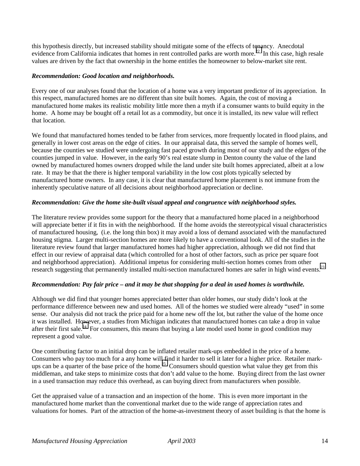this hypothesis directly, but increased stability should mitigate some of the effects of tenancy. Anecdotal evidence from California indicates that homes in rent controlled parks are worth more.<sup>22</sup> In this case, high resale values are driven by the fact that ownership in the home entitles the homeowner to below-market site rent.

## *Recommendation: Good location and neighborhoods.*

Every one of our analyses found that the location of a home was a very important predictor of its appreciation. In this respect, manufactured homes are no different than site built homes. Again, the cost of moving a manufactured home makes its realistic mobility little more then a myth if a consumer wants to build equity in the home. A home may be bought off a retail lot as a commodity, but once it is installed, its new value will reflect that location.

We found that manufactured homes tended to be father from services, more frequently located in flood plains, and generally in lower cost areas on the edge of cities. In our appraisal data, this served the sample of homes well, because the counties we studied were undergoing fast paced growth during most of our study and the edges of the counties jumped in value. However, in the early 90's real estate slump in Denton county the value of the land owned by manufactured homes owners dropped while the land under site built homes appreciated, albeit at a low rate. It may be that the there is higher temporal variability in the low cost plots typically selected by manufactured home owners. In any case, it is clear that manufactured home placement is not immune from the inherently speculative nature of all decisions about neighborhood appreciation or decline.

## *Recommendation: Give the home site-built visual appeal and congruence with neighborhood styles.*

The literature review provides some support for the theory that a manufactured home placed in a neighborhood will appreciate better if it fits in with the neighborhood. If the home avoids the stereotypical visual characteristics of manufactured housing, (i.e. the long thin box) it may avoid a loss of demand associated with the manufactured housing stigma. Larger multi-section homes are more likely to have a conventional look. All of the studies in the literature review found that larger manufactured homes had higher appreciation, although we did not find that effect in our review of appraisal data (which controlled for a host of other factors, such as price per square foot and neighborhood appreciation). Additional impetus for considering multi-section homes comes from other research suggesting that permanently installed multi-section manufactured homes are safer in high wind events.<sup>23</sup>

## *Recommendation: Pay fair price – and it may be that shopping for a deal in used homes is worthwhile.*

Although we did find that younger homes appreciated better than older homes, our study didn't look at the performance difference between new and used homes. All of the homes we studied were already "used" in some sense. Our analysis did not track the price paid for a home new off the lot, but rather the value of the home once it was installed. However, a studies from Michigan indicates that manufactured homes can take a drop in value after their first sale.<sup>24</sup> For consumers, this means that buying a late model used home in good condition may represent a good value.

One contributing factor to an initial drop can be inflated retailer mark-ups embedded in the price of a home. Consumers who pay too much for a any home will find it harder to sell it later for a higher price. Retailer markups can be a quarter of the base price of the home.<sup>25</sup> Consumers should question what value they get from this middleman, and take steps to minimize costs that don't add value to the home. Buying direct from the last owner in a used transaction may reduce this overhead, as can buying direct from manufacturers when possible.

Get the appraised value of a transaction and an inspection of the home. This is even more important in the manufactured home market than the conventional market due to the wide range of appreciation rates and valuations for homes. Part of the attraction of the home-as-investment theory of asset building is that the home is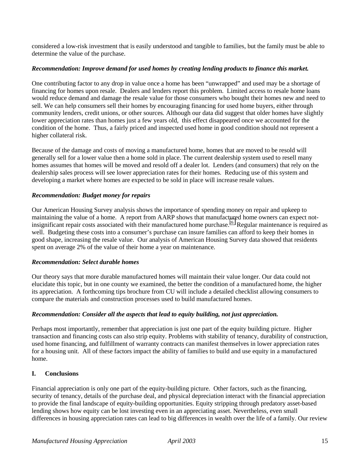considered a low-risk investment that is easily understood and tangible to families, but the family must be able to determine the value of the purchase.

## *Recommendation: Improve demand for used homes by creating lending products to finance this market.*

One contributing factor to any drop in value once a home has been "unwrapped" and used may be a shortage of financing for homes upon resale. Dealers and lenders report this problem. Limited access to resale home loans would reduce demand and damage the resale value for those consumers who bought their homes new and need to sell. We can help consumers sell their homes by encouraging financing for used home buyers, either through community lenders, credit unions, or other sources*.* Although our data did suggest that older homes have slightly lower appreciation rates than homes just a few years old, this effect disappeared once we accounted for the condition of the home. Thus, a fairly priced and inspected used home in good condition should not represent a higher collateral risk.

Because of the damage and costs of moving a manufactured home, homes that are moved to be resold will generally sell for a lower value then a home sold in place. The current dealership system used to resell many homes assumes that homes will be moved and resold off a dealer lot. Lenders (and consumers) that rely on the dealership sales process will see lower appreciation rates for their homes. Reducing use of this system and developing a market where homes are expected to be sold in place will increase resale values.

## *Recommendation: Budget money for repairs*

Our American Housing Survey analysis shows the importance of spending money on repair and upkeep to maintaining the value of a home. A report from AARP shows that manufactured home owners can expect notinsignificant repair costs associated with their manufactured home purchase.<sup>26</sup> Regular maintenance is required as well. Budgeting these costs into a consumer's purchase can insure families can afford to keep their homes in good shape, increasing the resale value. Our analysis of American Housing Survey data showed that residents spent on average 2% of the value of their home a year on maintenance.

## *Recommendation: Select durable homes*

Our theory says that more durable manufactured homes will maintain their value longer. Our data could not elucidate this topic, but in one county we examined, the better the condition of a manufactured home, the higher its appreciation. A forthcoming tips brochure from CU will include a detailed checklist allowing consumers to compare the materials and construction processes used to build manufactured homes.

## *Recommendation: Consider all the aspects that lead to equity building, not just appreciation.*

Perhaps most importantly, remember that appreciation is just one part of the equity building picture. Higher transaction and financing costs can also strip equity. Problems with stability of tenancy, durability of construction, used home financing, and fulfillment of warranty contracts can manifest themselves in lower appreciation rates for a housing unit. All of these factors impact the ability of families to build and use equity in a manufactured home.

## **I. Conclusions**

Financial appreciation is only one part of the equity-building picture. Other factors, such as the financing, security of tenancy, details of the purchase deal, and physical depreciation interact with the financial appreciation to provide the final landscape of equity-building opportunities. Equity stripping through predatory asset-based lending shows how equity can be lost investing even in an appreciating asset. Nevertheless, even small differences in housing appreciation rates can lead to big differences in wealth over the life of a family. Our review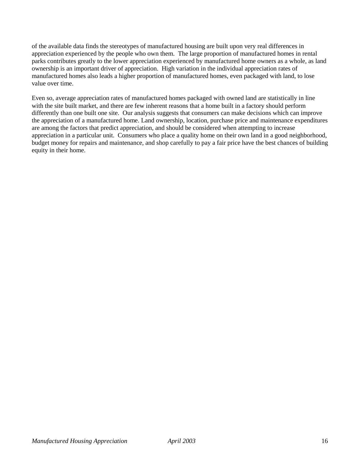of the available data finds the stereotypes of manufactured housing are built upon very real differences in appreciation experienced by the people who own them. The large proportion of manufactured homes in rental parks contributes greatly to the lower appreciation experienced by manufactured home owners as a whole, as land ownership is an important driver of appreciation. High variation in the individual appreciation rates of manufactured homes also leads a higher proportion of manufactured homes, even packaged with land, to lose value over time.

Even so, average appreciation rates of manufactured homes packaged with owned land are statistically in line with the site built market, and there are few inherent reasons that a home built in a factory should perform differently than one built one site. Our analysis suggests that consumers can make decisions which can improve the appreciation of a manufactured home. Land ownership, location, purchase price and maintenance expenditures are among the factors that predict appreciation, and should be considered when attempting to increase appreciation in a particular unit. Consumers who place a quality home on their own land in a good neighborhood, budget money for repairs and maintenance, and shop carefully to pay a fair price have the best chances of building equity in their home.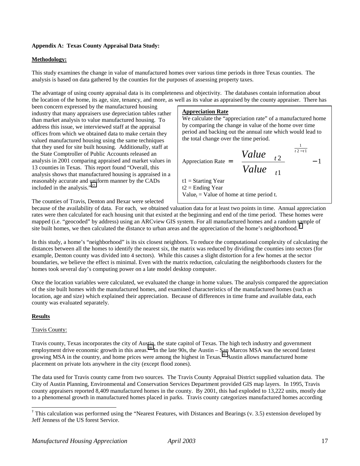## **Appendix A: Texas County Appraisal Data Study:**

#### **Methodology:**

This study examines the change in value of manufactured homes over various time periods in three Texas counties. The analysis is based on data gathered by the counties for the purposes of assessing property taxes.

The advantage of using county appraisal data is its completeness and objectivity. The databases contain information about the location of the home, its age, size, tenancy, and more, as well as its value as appraised by the county appraiser. There has

been concern expressed by the manufactured housing industry that many appraisers use depreciation tables rather than market analysis to value manufactured housing. To address this issue, we interviewed staff at the appraisal offices from which we obtained data to make certain they valued manufactured housing using the same techniques that they used for site built housing. Additionally, staff at the State Comptroller of Public Accounts released an analysis in 2001 comparing appraised and market values in 13 counties in Texas. This report found "Overall, this analysis shows that manufactured housing is appraised in a reasonably accurate and uniform manner by the CADs included in the analysis."[27](#page-43-0)

#### **Appreciation Rate**

We calculate the "appreciation rate" of a manufactured home by comparing the change in value of the home over time period and backing out the annual rate which would lead to the total change over the time period.

$$
ext{Approximation Rate} = \left(\frac{Value_{t2}}{Value_{t1}}\right)^{\left(\frac{1}{t2 - t1}\right)} - 1
$$
  
 
$$
t1 = \text{Starting Year}
$$
  
 
$$
t2 = \text{Ending Year}
$$

The counties of Travis, Denton and Bexar were selected

Value<sub>t</sub> = Value of home at time period t.

because of the availability of data. For each, we obtained valuation data for at least two points in time. Annual appreciation rates were then calculated for each housing unit that existed at the beginning and end of the time period. These homes were mapped (i.e. "geocoded" by address) using an ARCview GIS system. For all manufactured homes and a random sample of site built homes, we then calculated the distance to urban areas and the appreciation of the home's neighborhood. †

In this study, a home's "neighborhood" is its six closest neighbors. To reduce the computational complexity of calculating the distances between all the homes to identify the nearest six, the matrix was reduced by dividing the counties into sectors (for example, Denton county was divided into 4 sectors). While this causes a slight distortion for a few homes at the sector boundaries, we believe the effect is minimal. Even with the matrix reduction, calculating the neighborhoods clusters for the homes took several day's computing power on a late model desktop computer.

Once the location variables were calculated, we evaluated the change in home values. The analysis compared the appreciation of the site built homes with the manufactured homes, and examined characteristics of the manufactured homes (such as location, age and size) which explained their appreciation. Because of differences in time frame and available data, each county was evaluated separately.

#### **Results**

#### Travis County:

Travis county, Texas incorporates the city of Austin, the state capitol of Texas. The high tech industry and government employment drive economic growth in this areas.<sup>28</sup> In the late 90s, the Austin – San Marcos MSA was the second fastest growing MSA in the country, and home prices were among the highest in Texas.<sup>29</sup> Austin allows manufactured home placement on private lots anywhere in the city (except flood zones).

The data used for Travis county came from two sources. The Travis County Appraisal District supplied valuation data. The City of Austin Planning, Environmental and Conservation Services Department provided GIS map layers. In 1995, Travis county appraisers reported 8,409 manufactured homes in the county. By 2001, this had exploded to 13,222 units, mostly due to a phenomenal growth in manufactured homes placed in parks. Travis county categorizes manufactured homes according

 † This calculation was performed using the "Nearest Features, with Distances and Bearings (v. 3.5) extension developed by Jeff Jenness of the US forest Service.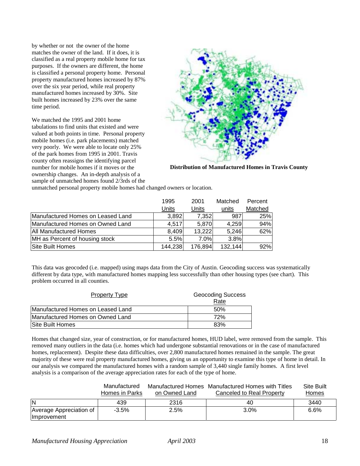by whether or not the owner of the home matches the owner of the land. If it does, it is classified as a real property mobile home for tax purposes. If the owners are different, the home is classified a personal property home. Personal property manufactured homes increased by 87% over the six year period, while real property manufactured homes increased by 30%. Site built homes increased by 23% over the same time period.

We matched the 1995 and 2001 home tabulations to find units that existed and were valued at both points in time. Personal property mobile homes (i.e. park placements) matched very poorly. We were able to locate only 25% of the park homes from 1995 in 2001. Travis county often reassigns the identifying parcel number for mobile homes if it moves or the ownership changes. An in-depth analysis of a sample of unmatched homes found 2/3rds of the



**Distribution of Manufactured Homes in Travis County**

unmatched personal property mobile homes had changed owners or location.

|                                   | 1995    | 2001    | Matched | Percent |
|-----------------------------------|---------|---------|---------|---------|
|                                   | Units   | Units   | units   | Matched |
| Manufactured Homes on Leased Land | 3,892   | 7,352   | 987     | 25%     |
| Manufactured Homes on Owned Land  | 4,517   | 5,870   | 4,259   | 94%     |
| <b>All Manufactured Homes</b>     | 8,409   | 13,222  | 5,246   | 62%     |
| MH as Percent of housing stock    | 5.5%    | 7.0%    | 3.8%    |         |
| Site Built Homes                  | 144,238 | 176,894 | 132,144 | 92%     |

This data was geocoded (i.e. mapped) using maps data from the City of Austin. Geocoding success was systematically different by data type, with manufactured homes mapping less successfully than other housing types (see chart). This problem occurred in all counties.

| <b>Property Type</b>              | <b>Geocoding Success</b><br>Rate |
|-----------------------------------|----------------------------------|
| Manufactured Homes on Leased Land | .50%                             |
| Manufactured Homes on Owned Land  | 72%                              |
| Site Built Homes                  | 83%                              |

Homes that changed size, year of construction, or for manufactured homes, HUD label, were removed from the sample. This removed many outliers in the data (i.e. homes which had undergone substantial renovations or in the case of manufactured homes, replacement). Despite these data difficulties, over 2,800 manufactured homes remained in the sample. The great majority of these were real property manufactured homes, giving us an opportunity to examine this type of home in detail. In our analysis we compared the manufactured homes with a random sample of 3,440 single family homes. A first level analysis is a comparison of the average appreciation rates for each of the type of home.

|                         | Manufactured<br>Homes in Parks | on Owned Land | Manufactured Homes Manufactured Homes with Titles | Site Built |
|-------------------------|--------------------------------|---------------|---------------------------------------------------|------------|
|                         |                                |               | Canceled to Real Property                         | Homes      |
| İN                      | 439                            | 2316          | 40                                                | 3440       |
| Average Appreciation of | $-3.5%$                        | 2.5%          | $3.0\%$                                           | 6.6%       |
| Improvement             |                                |               |                                                   |            |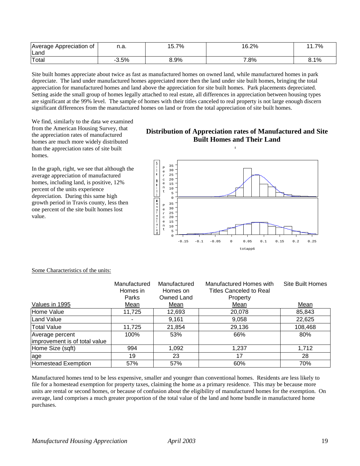| Average Appreciation of | n.a. | 7%<br>-<br>5.1 | 16.2%  | 7%<br>$\cdots$ |
|-------------------------|------|----------------|--------|----------------|
| Land                    |      |                |        |                |
| Total                   | 3.5% | 8.9%           | $.8\%$ | 8.1%           |

Site built homes appreciate about twice as fast as manufactured homes on owned land, while manufactured homes in park depreciate. The land under manufactured homes appreciated more then the land under site built homes, bringing the total appreciation for manufactured homes and land above the appreciation for site built homes. Park placements depreciated. Setting aside the small group of homes legally attached to real estate, all differences in appreciation between housing types are significant at the 99% level. The sample of homes with their titles canceled to real property is not large enough discern significant differences from the manufactured homes on land or from the total appreciation of site built homes.

We find, similarly to the data we examined from the American Housing Survey, that the appreciation rates of manufactured homes are much more widely distributed than the appreciation rates of site built homes.

In the graph, right, we see that although the average appreciation of manufactured homes, including land, is positive, 12% percent of the units experience depreciation. During this same high growth period in Travis county, less then one percent of the site built homes lost value.

## **Distribution of Appreciation rates of Manufactured and Site Built Homes and Their Land**

 $\mathbf{I}$ 



|                               | Manufactured<br>Homes in | Manufactured<br>Homes on | Manufactured Homes with<br><b>Titles Canceled to Real</b> | Site Built Homes |
|-------------------------------|--------------------------|--------------------------|-----------------------------------------------------------|------------------|
|                               | Parks                    | Owned Land               | Property                                                  |                  |
| Values in 1995                | Mean                     | Mean                     | Mean                                                      | Mean             |
| Home Value                    | 11,725                   | 12,693                   | 20,078                                                    | 85,843           |
| Land Value                    |                          | 9,161                    | 9,058                                                     | 22,625           |
| <b>Total Value</b>            | 11,725                   | 21,854                   | 29,136                                                    | 108,468          |
| Average percent               | 100%                     | 53%                      | 66%                                                       | 80%              |
| improvement is of total value |                          |                          |                                                           |                  |
| Home Size (sqft)              | 994                      | 1,092                    | 1,237                                                     | 1,712            |
| lage                          | 19                       | 23                       | 17                                                        | 28               |
| Homestead Exemption           | 57%                      | 57%                      | 60%                                                       | 70%              |

## Some Characteristics of the units:

Manufactured homes tend to be less expensive, smaller and younger than conventional homes. Residents are less likely to file for a homestead exemption for property taxes, claiming the home as a primary residence. This may be because more units are rental or second homes, or because of confusion about the eligibility of manufactured homes for the exemption. On average, land comprises a much greater proportion of the total value of the land and home bundle in manufactured home purchases.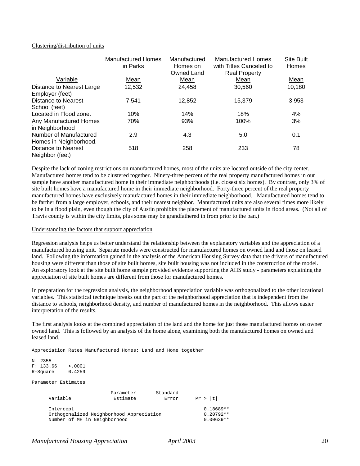#### Clustering/distribution of units

|                           | <b>Manufactured Homes</b><br>in Parks | Manufactured<br>Homes on<br>Owned Land | <b>Manufactured Homes</b><br>with Titles Canceled to<br><b>Real Property</b> | <b>Site Built</b><br><b>Homes</b> |
|---------------------------|---------------------------------------|----------------------------------------|------------------------------------------------------------------------------|-----------------------------------|
| Variable                  | Mean                                  | Mean                                   | Mean                                                                         | Mean                              |
| Distance to Nearest Large | 12,532                                | 24,458                                 | 30,560                                                                       | 10,180                            |
| Employer (feet)           |                                       |                                        |                                                                              |                                   |
| Distance to Nearest       | 7.541                                 | 12,852                                 | 15,379                                                                       | 3,953                             |
| School (feet)             |                                       |                                        |                                                                              |                                   |
| Located in Flood zone.    | 10%                                   | 14%                                    | 18%                                                                          | 4%                                |
| Any Manufactured Homes    | 70%                                   | 93%                                    | 100%                                                                         | 3%                                |
| in Neighborhood           |                                       |                                        |                                                                              |                                   |
| Number of Manufactured    | 2.9                                   | 4.3                                    | 5.0                                                                          | 0.1                               |
| Homes in Neighborhood.    |                                       |                                        |                                                                              |                                   |
| Distance to Nearest       | 518                                   | 258                                    | 233                                                                          | 78                                |
| Neighbor (feet)           |                                       |                                        |                                                                              |                                   |

Despite the lack of zoning restrictions on manufactured homes, most of the units are located outside of the city center. Manufactured homes tend to be clustered together. Ninety-three percent of the real property manufactured homes in our sample have another manufactured home in their immediate neighborhoods (i.e. closest six homes). By contrast, only 3% of site built homes have a manufactured home in their immediate neighborhood. Forty-three percent of the real property manufactured homes have exclusively manufactured homes in their immediate neighborhood. Manufactured homes tend to be farther from a large employer, schools, and their nearest neighbor. Manufactured units are also several times more likely to be in a flood plain, even though the city of Austin prohibits the placement of manufactured units in flood areas. (Not all of Travis county is within the city limits, plus some may be grandfathered in from prior to the ban.)

## Understanding the factors that support appreciation

Regression analysis helps us better understand the relationship between the explanatory variables and the appreciation of a manufactured housing unit. Separate models were constructed for manufactured homes on owned land and those on leased land. Following the information gained in the analysis of the American Housing Survey data that the drivers of manufactured housing were different than those of site built homes, site built housing was not included in the construction of the model. An exploratory look at the site built home sample provided evidence supporting the AHS study - parameters explaining the appreciation of site built homes are different from those for manufactured homes.

In preparation for the regression analysis, the neighborhood appreciation variable was orthogonalized to the other locational variables. This statistical technique breaks out the part of the neighborhood appreciation that is independent from the distance to schools, neighborhood density, and number of manufactured homes in the neighborhood. This allows easier interpretation of the results.

The first analysis looks at the combined appreciation of the land and the home for just those manufactured homes on owner owned land. This is followed by an analysis of the home alone, examining both the manufactured homes on owned and leased land.

Appreciation Rates Manufactured Homes: Land and Home together

```
N: 2355
F: 133.66 <.0001<br>R-Square 0.4259
R-Square
```
Parameter Estimates

| Variable                                 | Parameter<br>Estimate | Standard<br>Error | Pr >  t     |
|------------------------------------------|-----------------------|-------------------|-------------|
| Intercept                                |                       |                   | $0.18689**$ |
| Orthogonalized Neighborhood Appreciation |                       |                   | $0.20792**$ |
| Number of MH in Neighborhood             |                       |                   | $0.00639**$ |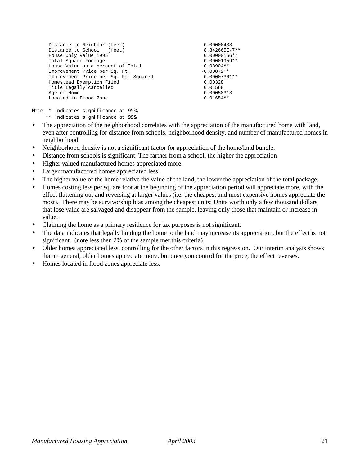| Distance to Neighbor (feet)           | $-0.00000433$   |
|---------------------------------------|-----------------|
| Distance to School (feet)             | 8.842665E-7**   |
| House Only Value 1995                 | $0.00000166**$  |
| Total Square Footage                  | $-0.00001959**$ |
| House Value as a percent of Total     | $-0.08904**$    |
| Improvement Price per Sq. Ft.         | $-0.00872**$    |
| Improvement Price per Sq. Ft. Squared | $0.00007361**$  |
| Homestead Exemption Filed             | 0.00328         |
| Title Legally cancelled               | 0.01568         |
| Age of Home                           | $-0.00058313$   |
| Located in Flood Zone                 | $-0.01654**$    |
|                                       |                 |

Note: \* indicates significance at 95% \*\* indicates significance at 99&

- The appreciation of the neighborhood correlates with the appreciation of the manufactured home with land, even after controlling for distance from schools, neighborhood density, and number of manufactured homes in neighborhood.
- Neighborhood density is not a significant factor for appreciation of the home/land bundle.
- Distance from schools is significant: The farther from a school, the higher the appreciation
- Higher valued manufactured homes appreciated more.
- Larger manufactured homes appreciated less.
- The higher value of the home relative the value of the land, the lower the appreciation of the total package.
- Homes costing less per square foot at the beginning of the appreciation period will appreciate more, with the effect flattening out and reversing at larger values (i.e. the cheapest and most expensive homes appreciate the most). There may be survivorship bias among the cheapest units: Units worth only a few thousand dollars that lose value are salvaged and disappear from the sample, leaving only those that maintain or increase in value.
- Claiming the home as a primary residence for tax purposes is not significant.
- The data indicates that legally binding the home to the land may increase its appreciation, but the effect is not significant. (note less then 2% of the sample met this criteria)
- Older homes appreciated less, controlling for the other factors in this regression. Our interim analysis shows that in general, older homes appreciate more, but once you control for the price, the effect reverses.
- Homes located in flood zones appreciate less.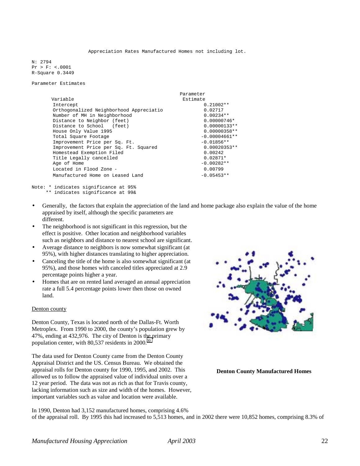Appreciation Rates Manufactured Homes not including lot.

N: 2794 Pr > F: <.0001 R-Square 0.3449

Parameter Estimates

|                                         | Parameter       |
|-----------------------------------------|-----------------|
| Variable                                | Estimate        |
| Intercept                               | $0.21002**$     |
| Orthogonalized Neighborhood Appreciatio | 0.02717         |
| Number of MH in Neighborhood            | $0.00234**$     |
| Distance to Neighbor (feet)             | $0.00000746*$   |
| Distance to School (feet)               | $0.00000133**$  |
| House Only Value 1995                   | $0.00000358**$  |
| Total Square Footage                    | $-0.00004661**$ |
| Improvement Price per Sq. Ft.           | $-0.01856**$    |
| Improvement Price per Sq. Ft. Squared   | $0.00020353**$  |
| Homestead Exemption Filed               | 0.00242         |
| Title Legally cancelled                 | $0.02871*$      |
| Age of Home                             | $-0.00282**$    |
| Located in Flood Zone -                 | 0.00799         |
| Manufactured Home on Leased Land        | $-0.05453**$    |

\*\* indicates significance at 99&

- Generally, the factors that explain the appreciation of the land and home package also explain the value of the home appraised by itself, although the specific parameters are different.
- The neighborhood is not significant in this regression, but the effect is positive. Other location and neighborhood variables such as neighbors and distance to nearest school are significant.
- Average distance to neighbors is now somewhat significant (at 95%), with higher distances translating to higher appreciation.
- Canceling the title of the home is also somewhat significant (at 95%), and those homes with canceled titles appreciated at 2.9 percentage points higher a year.
- Homes that are on rented land averaged an annual appreciation rate a full 5.4 percentage points lower then those on owned land.

#### Denton county

Denton County, Texas is located north of the Dallas-Ft. Worth Metroplex. From 1990 to 2000, the county's population grew by 47%, ending at 432,976. The city of Denton is the primary population center, with  $80,537$  residents in  $2000$ .<sup>[30](#page-43-0)</sup>

The data used for Denton County came from the Denton County Appraisal District and the US. Census Bureau. We obtained the appraisal rolls for Denton county for 1990, 1995, and 2002. This allowed us to follow the appraised value of individual units over a 12 year period. The data was not as rich as that for Travis county, lacking information such as size and width of the homes. However, important variables such as value and location were available.



**Denton County Manufactured Homes**

In 1990, Denton had 3,152 manufactured homes, comprising 4.6% of the appraisal roll. By 1995 this had increased to 5,513 homes, and in 2002 there were 10,852 homes, comprising 8.3% of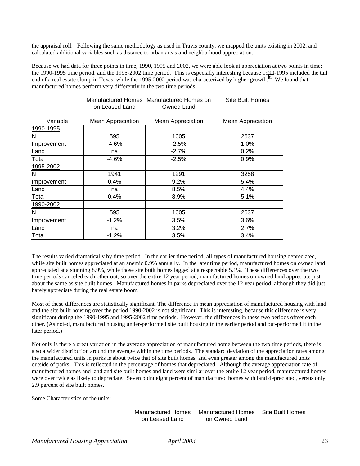the appraisal roll. Following the same methodology as used in Travis county, we mapped the units existing in 2002, and calculated additional variables such as distance to urban areas and neighborhood appreciation.

Because we had data for three points in time, 1990, 1995 and 2002, we were able look at appreciation at two points in time: the 1990-1995 time period, and the 1995-2002 time period. This is especially interesting because 1990-1995 included the tail end of a real estate slump in Texas, while the 1995-2002 period was characterized by higher growth.<sup>31</sup> We found that manufactured homes perform very differently in the two time periods.

Site Built Homes

|             | on Leased Land           | Manufactured Homes Manufactured Homes on<br>Owned Land | Site Built Homes         |
|-------------|--------------------------|--------------------------------------------------------|--------------------------|
| Variable    | <b>Mean Appreciation</b> | <b>Mean Appreciation</b>                               | <b>Mean Appreciation</b> |
| 1990-1995   |                          |                                                        |                          |
| N           | 595                      | 1005                                                   | 2637                     |
| Improvement | $-4.6%$                  | $-2.5%$                                                | 1.0%                     |
| Land        | na                       | $-2.7%$                                                | 0.2%                     |
| Total       | $-4.6%$                  | $-2.5%$                                                | $0.9\%$                  |
| 1995-2002   |                          |                                                        |                          |
| N           | 1941                     | 1291                                                   | 3258                     |
| Improvement | 0.4%                     | 9.2%                                                   | 5.4%                     |
| Land        | na                       | 8.5%                                                   | 4.4%                     |
| Total       | $0.4\%$                  | 8.9%                                                   | 5.1%                     |
| 1990-2002   |                          |                                                        |                          |
| N           | 595                      | 1005                                                   | 2637                     |
| Improvement | $-1.2%$                  | 3.5%                                                   | 3.6%                     |
| Land        | na                       | 3.2%                                                   | 2.7%                     |
| Total       | $-1.2%$                  | 3.5%                                                   | 3.4%                     |

The results varied dramatically by time period. In the earlier time period, all types of manufactured housing depreciated, while site built homes appreciated at an anemic 0.9% annually. In the later time period, manufactured homes on owned land appreciated at a stunning 8.9%, while those site built homes lagged at a respectable 5.1%. These differences over the two time periods canceled each other out, so over the entire 12 year period, manufactured homes on owned land appreciate just about the same as site built homes. Manufactured homes in parks depreciated over the 12 year period, although they did just barely appreciate during the real estate boom.

Most of these differences are statistically significant. The difference in mean appreciation of manufactured housing with land and the site built housing over the period 1990-2002 is not significant. This is interesting, because this difference is very significant during the 1990-1995 and 1995-2002 time periods. However, the differences in these two periods offset each other. (As noted, manufactured housing under-performed site built housing in the earlier period and out-performed it in the later period.)

Not only is there a great variation in the average appreciation of manufactured home between the two time periods, there is also a wider distribution around the average within the time periods. The standard deviation of the appreciation rates among the manufactured units in parks is about twice that of site built homes, and even greater among the manufactured units outside of parks. This is reflected in the percentage of homes that depreciated. Although the average appreciation rate of manufactured homes and land and site built homes and land were similar over the entire 12 year period, manufactured homes were over twice as likely to depreciate. Seven point eight percent of manufactured homes with land depreciated, versus only 2.9 percent of site built homes.

Some Characteristics of the units:

Manufactured Homes on Leased Land Manufactured Homes on Owned Land Site Built Homes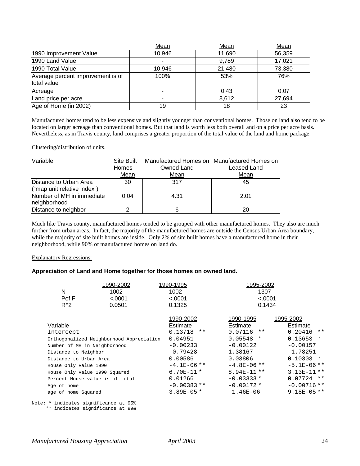|                                                  | Mean   | Mean   | Mean   |
|--------------------------------------------------|--------|--------|--------|
| 1990 Improvement Value                           | 10,946 | 11,690 | 56,359 |
| 1990 Land Value                                  |        | 9,789  | 17,021 |
| 1990 Total Value                                 | 10,946 | 21,480 | 73,380 |
| Average percent improvement is of<br>total value | 100%   | 53%    | 76%    |
| Acreage                                          | ۰      | 0.43   | 0.07   |
| Land price per acre                              | ۰      | 8,612  | 27,694 |
| Age of Home (in 2002)                            | 19     | 18     | 23     |

Manufactured homes tend to be less expensive and slightly younger than conventional homes. Those on land also tend to be located on larger acreage than conventional homes. But that land is worth less both overall and on a price per acre basis. Nevertheless, as in Travis county, land comprises a greater proportion of the total value of the land and home package.

#### Clustering/distribution of units.

| Variable                                  | Site Built<br><b>Homes</b> | Owned Land | Manufactured Homes on Manufactured Homes on<br>Leased Land |
|-------------------------------------------|----------------------------|------------|------------------------------------------------------------|
|                                           | Mean                       | Mean       | Mean                                                       |
| Distance to Urban Area                    | 30                         | 317        | 45                                                         |
| ("map unit relative index")               |                            |            |                                                            |
| Number of MH in immediate<br>neighborhood | 0.04                       | 4.31       | 2.01                                                       |
| Distance to neighbor                      | ◠                          |            | 20                                                         |

Much like Travis county, manufactured homes tended to be grouped with other manufactured homes. They also are much further from urban areas. In fact, the majority of the manufactured homes are outside the Census Urban Area boundary, while the majority of site built homes are inside. Only 2% of site built homes have a manufactured home in their neighborhood, while 90% of manufactured homes on land do.

#### Explanatory Regressions:

#### **Appreciation of Land and Home together for those homes on owned land.**

| N                                     | 1990-2002<br>1002                        | 1990-1995<br>1002 | 1995-2002<br>1307 |                   |
|---------------------------------------|------------------------------------------|-------------------|-------------------|-------------------|
| Pof F                                 | < .0001                                  | < .0001           | < .0001           |                   |
| $R^2$                                 | 0.0501                                   | 0.1325            | 0.1434            |                   |
|                                       |                                          | 1990-2002         | 1990-1995         | 1995-2002         |
| Variable                              |                                          | Estimate          | Estimate          | Estimate          |
| Intercept                             |                                          | 0.13718<br>$***$  | 0.07116<br>$***$  | 0.20416<br>$* *$  |
|                                       | Orthogonalized Neighborhood Appreciation | 0.04951           | 0.05548<br>$\ast$ | 0.13653<br>$\ast$ |
| Number of MH in Neighborhood          |                                          | $-0.00233$        | $-0.00122$        | $-0.00157$        |
| Distance to Neighbor                  |                                          | $-0.79428$        | 1.38167           | $-1.78251$        |
| Distance to Urban Area                |                                          | 0.00586           | 0.03806           | $0.10303$ *       |
| House Only Value 1990                 |                                          | $-4.1E-06$ **     | $-4.8E-06$ **     | $-5.1E-06$ **     |
| House Only Value 1990 Squared         |                                          | $6.70E-11*$       | $8.94E-11$ **     | $3.13E-11$ **     |
|                                       | Percent House value is of total          | 0.01266           | $-0.03333*$       | $0.07724$ **      |
| Age of home                           |                                          | $-0.00383**$      | $-0.00172*$       | $-0.00716$ **     |
| age of home Squared                   |                                          | $3.89E - 05*$     | $1.46E-06$        | $9.18E-05$ **     |
| Note: * indicates significance at 95% |                                          |                   |                   |                   |

\*\* indicates significance at 99&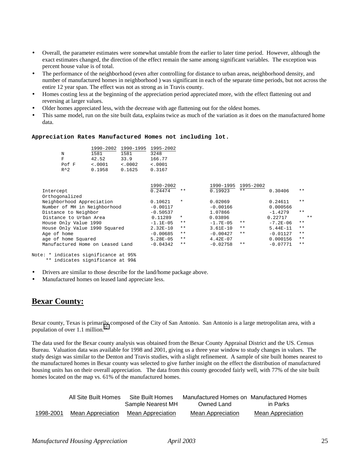- Overall, the parameter estimates were somewhat unstable from the earlier to later time period. However, although the exact estimates changed, the direction of the effect remain the same among significant variables. The exception was percent house value is of total.
- The performance of the neighborhood (even after controlling for distance to urban areas, neighborhood density, and number of manufactured homes in neighborhood ) was significant in each of the separate time periods, but not across the entire 12 year span. The effect was not as strong as in Travis county.
- Homes costing less at the beginning of the appreciation period appreciated more, with the effect flattening out and reversing at larger values.
- Older homes appreciated less, with the decrease with age flattening out for the oldest homes.
- This same model, run on the site built data, explains twice as much of the variation as it does on the manufactured home data.

#### **Appreciation Rates Manufactured Homes not including lot.**

|               | 1990-2002 | 1990-1995 | 1995-2002 |
|---------------|-----------|-----------|-----------|
| N             | 1581      | 1581      | 3248      |
| F             | 42.52     | 33.9      | 166.77    |
| Pof F         | < .0001   | < .0002   | < .0001   |
| $R^{\wedge}2$ | 0.1958    | 0.1625    | 0.3167    |

|                                  | 1990-2002    |         | 1990-1995    | 1995-2002 |              |       |
|----------------------------------|--------------|---------|--------------|-----------|--------------|-------|
| Intercept                        | 0.24474      | $***$   | 0.19923      | $***$     | 0.30406      | $**$  |
| Orthogonalized                   |              |         |              |           |              |       |
| Neighborhood Appreciation        | 0.10621      | $\star$ | 0.02069      |           | 0.24611      | $**$  |
| Number of MH in Neighborhood     | $-0.00117$   |         | $-0.00166$   |           | 0.000566     |       |
| Distance to Neighbor             | $-0.50537$   |         | 1.07866      |           | $-1.4279$    | $**$  |
| Distance to Urban Area           | 0.11289      | $\star$ | 0.03896      |           | 0.22717      | $* *$ |
| House Only Value 1990            | $-1.1E-0.5$  | $* *$   | $-1.7E-0.5$  | $***$     | $-7.2E - 06$ | $**$  |
| House Only Value 1990 Squared    | $2.32E - 10$ | $* *$   | $3.61E - 10$ | $* *$     | $5.44E-11$   | $**$  |
| Age of home                      | $-0.00685$   | $* *$   | $-0.00427$   | $* *$     | $-0.01127$   | $**$  |
| age of home Squared              | $5.28E - 05$ | $***$   | $4.42E - 07$ |           | 0.000156     | $**$  |
| Manufactured Home on Leased Land | $-0.04342$   | $* *$   | $-0.02758$   | $***$     | $-0.07771$   | $**$  |
|                                  |              |         |              |           |              |       |

```
Note: * indicates significance at 95%
      ** indicates significance at 99&
```
- Drivers are similar to those describe for the land/home package above.
- Manufactured homes on leased land appreciate less.

## **Bexar County:**

Bexar county, Texas is primarily composed of the City of San Antonio. San Antonio is a large metropolitan area, with a population of over 1.1 million. $\frac{3}{2}$ 

The data used for the Bexar county analysis was obtained from the Bexar County Appraisal District and the US. Census Bureau. Valuation data was available for 1998 and 2001, giving us a three year window to study changes in values. The study design was similar to the Denton and Travis studies, with a slight refinement. A sample of site built homes nearest to the manufactured homes in Bexar county was selected to give further insight on the effect the distribution of manufactured housing units has on their overall appreciation. The data from this county geocoded fairly well, with 77% of the site built homes located on the map vs. 61% of the manufactured homes.

|           | All Site Built Homes | Site Built Homes  | Manufactured Homes on Manufactured Homes |                   |
|-----------|----------------------|-------------------|------------------------------------------|-------------------|
|           |                      | Sample Nearest MH | Owned Land                               | in Parks          |
| 1998-2001 | Mean Appreciation    | Mean Appreciation | Mean Appreciation                        | Mean Appreciation |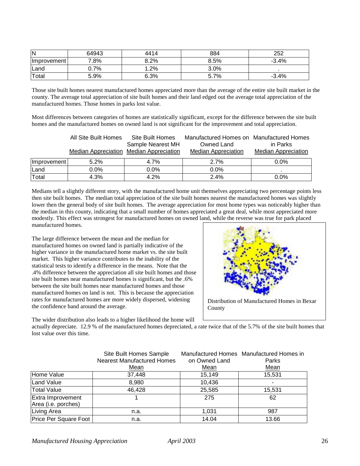| IN          | 64943   | 4414 | 884  | 252     |
|-------------|---------|------|------|---------|
| Improvement | 7.8%    | 8.2% | 8.5% | $-3.4%$ |
| Land        | $0.7\%$ | .2%  | 3.0% |         |
| Total       | 5.9%    | 6.3% | 5.7% | $-3.4%$ |

Those site built homes nearest manufactured homes appreciated more than the average of the entire site built market in the county. The average total appreciation of site built homes and their land edged out the average total appreciation of the manufactured homes. Those homes in parks lost value.

Most differences between categories of homes are statistically significant, except for the difference between the site built homes and the manufactured homes on owned land is not significant for the improvement and total appreciation.

|             | All Site Built Homes | Site Built Homes<br>Sample Nearest MH   | Manufactured Homes on Manufactured Homes<br>Owned Land | in Parks                   |
|-------------|----------------------|-----------------------------------------|--------------------------------------------------------|----------------------------|
|             |                      | Median Appreciation Median Appreciation | <b>Median Appreciation</b>                             | <b>Median Appreciation</b> |
| Improvement | 5.2%                 | 4.7%                                    | 2.7%                                                   | $0.0\%$                    |
| Land        | $0.0\%$              | $0.0\%$                                 | $0.0\%$                                                |                            |
| Total       | 4.3%                 | 4.2%                                    | 2.4%                                                   | $0.0\%$                    |

Medians tell a slightly different story, with the manufactured home unit themselves appreciating two percentage points less then site built homes. The median total appreciation of the site built homes nearest the manufactured homes was slightly lower then the general body of site built homes. The average appreciation for most home types was noticeably higher than the median in this county, indicating that a small number of homes appreciated a great deal, while most appreciated more modestly. This effect was strongest for manufactured homes on owned land, while the reverse was true for park placed manufactured homes.

The large difference between the mean and the median for manufactured homes on owned land is partially indicative of the higher variance in the manufactured home market vs. the site built market. This higher variance contributes to the inability of the statistical tests to identify a difference in the means. Note that the .4% difference between the appreciation all site built homes and those site built homes near manufactured homes is significant, but the .6% between the site built homes near manufactured homes and those manufactured homes on land is not. This is because the appreciation rates for manufactured homes are more widely dispersed, widening the confidence band around the average.

The wider distribution also leads to a higher likelihood the home will



actually depreciate. 12.9 % of the manufactured homes depreciated, a rate twice that of the 5.7% of the site built homes that lost value over this time.

|                                          | Site Built Homes Sample<br><b>Nearest Manufactured Homes</b><br>Mean | on Owned Land<br>Mean | Manufactured Homes Manufactured Homes in<br>Parks<br>Mean |
|------------------------------------------|----------------------------------------------------------------------|-----------------------|-----------------------------------------------------------|
| Home Value                               | 37,448                                                               | 15,149                | 15,531                                                    |
| Land Value                               | 8,980                                                                | 10,436                |                                                           |
| <b>Total Value</b>                       | 46,428                                                               | 25,585                | 15,531                                                    |
| Extra Improvement<br>Area (i.e. porches) |                                                                      | 275                   | 62                                                        |
| Living Area                              | n.a.                                                                 | 1.031                 | 987                                                       |
| Price Per Square Foot                    | n.a.                                                                 | 14.04                 | 13.66                                                     |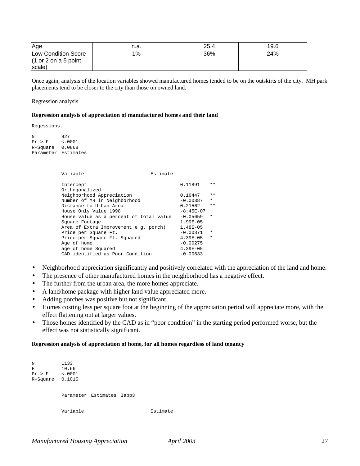| <b>Age</b>           | n.a. | 25.4 | 19.6 |
|----------------------|------|------|------|
| Low Condition Score  | 1%   | 36%  | 24%  |
| (1 or 2 on a 5 point |      |      |      |
| scale)               |      |      |      |

Once again, analysis of the location variables showed manufactured homes tended to be on the outskirts of the city. MH park placements tend to be closer to the city than those on owned land.

#### Regression analysis

#### **Regression analysis of appreciation of manufactured homes and their land**

Regessions.

N: 927<br>Pr > F <.0  $\sim 0001$ R-Square 0.0868 Parameter Estimates

| Variable                                | Estimate |              |         |
|-----------------------------------------|----------|--------------|---------|
| Intercept                               |          | 0.11891      | $* *$   |
| Orthogonalized                          |          |              |         |
| Neighborhood Appreciation               |          | 0.16447      | $* *$   |
| Number of MH in Neighborhood            |          | $-0.00387$   | $\star$ |
| Distance to Urban Area                  |          | 0.21562      | $* *$   |
| House Only Value 1998                   |          | $-8.45E-07$  |         |
| House value as a percent of total value |          | $-0.05659$   | $\star$ |
| Square Footage                          |          | $1.99E - 05$ |         |
| Area of Extra Improvement e.g. porch)   |          | $1.48E-05$   |         |
| Price per Square Ft.                    |          | $-0.00371$   | $\star$ |
| Price per Square Ft. Squared            |          | $4.39E - 05$ | $\star$ |
| Age of home                             |          | $-0.00275$   |         |
| age of home Squared                     |          | $4.39E - 05$ |         |
| CAD identified as Poor Condition        |          | $-0.00633$   |         |
|                                         |          |              |         |

- Neighborhood appreciation significantly and positively correlated with the appreciation of the land and home.
- The presence of other manufactured homes in the neighborhood has a negative effect.
- The further from the urban area, the more homes appreciate.
- A land/home package with higher land value appreciated more.
- Adding porches was positive but not significant.
- Homes costing less per square foot at the beginning of the appreciation period will appreciate more, with the effect flattening out at larger values.
- Those homes identified by the CAD as in "poor condition" in the starting period performed worse, but the effect was not statistically significant.

#### **Regression analysis of appreciation of home, for all homes regardless of land tenancy**

N: 1133<br>F 10.66 F 10.66 Pr > F <.0001 R-Square 0.1015 Parameter Estimates Iapp3 Variable **Estimate**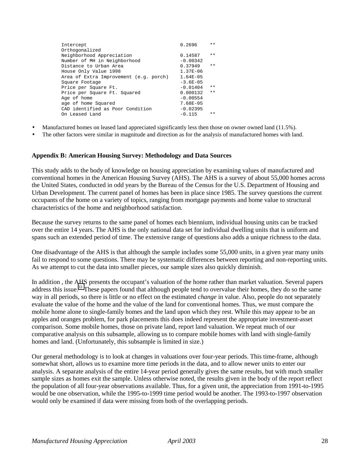| Intercept                              | 0.2696        | $***$ |
|----------------------------------------|---------------|-------|
| Orthogonalized                         |               |       |
| Neighborhood Appreciation              | 0.14587       | $***$ |
| Number of MH in Neighborhood           | $-0.00342$    |       |
| Distance to Urban Area                 | 0.37949       | $***$ |
| House Only Value 1998                  | $1.37E - 06$  |       |
| Area of Extra Improvement (e.g. porch) | $1.64E - 05$  |       |
| Square Footage                         | $-3.6E - 0.5$ |       |
| Price per Square Ft.                   | $-0.01404$    | $***$ |
| Price per Square Ft. Squared           | 0.000132      | $***$ |
| Age of home                            | $-0.00554$    |       |
| age of home Squared                    | 7.68E-05      |       |
| CAD identified as Poor Condition       | $-0.02395$    |       |
| On Leased Land                         | $-0.115$      | $***$ |
|                                        |               |       |

- Manufactured homes on leased land appreciated significantly less then those on owner owned land (11.5%).
- The other factors were similar in magnitude and direction as for the analysis of manufactured homes with land.

## **Appendix B: American Housing Survey: Methodology and Data Sources**

This study adds to the body of knowledge on housing appreciation by examining values of manufactured and conventional homes in the American Housing Survey (AHS). The AHS is a survey of about 55,000 homes across the United States, conducted in odd years by the Bureau of the Census for the U.S. Department of Housing and Urban Development. The current panel of homes has been in place since 1985. The survey questions the current occupants of the home on a variety of topics, ranging from mortgage payments and home value to structural characteristics of the home and neighborhood satisfaction.

Because the survey returns to the same panel of homes each biennium, individual housing units can be tracked over the entire 14 years. The AHS is the only national data set for individual dwelling units that is uniform and spans such an extended period of time. The extensive range of questions also adds a unique richness to the data.

One disadvantage of the AHS is that although the sample includes some 55,000 units, in a given year many units fail to respond to some questions. There may be systematic differences between reporting and non-reporting units. As we attempt to cut the data into smaller pieces, our sample sizes also quickly diminish.

In addition , the AHS presents the occupant's valuation of the home rather than market valuation. Several papers address this issue.<sup>33</sup> These papers found that although people tend to overvalue their homes, they do so the same way in all periods, so there is little or no effect on the estimated *change* in value. Also, people do not separately evaluate the value of the home and the value of the land for conventional homes. Thus, we must compare the mobile home alone to single-family homes and the land upon which they rest. While this may appear to be an apples and oranges problem, for park placements this does indeed represent the appropriate investment-asset comparison. Some mobile homes, those on private land, report land valuation. We repeat much of our comparative analysis on this subsample, allowing us to compare mobile homes with land with single-family homes and land. (Unfortunately, this subsample is limited in size.)

Our general methodology is to look at changes in valuations over four-year periods. This time-frame, although somewhat short, allows us to examine more time periods in the data, and to allow newer units to enter our analysis. A separate analysis of the entire 14-year period generally gives the same results, but with much smaller sample sizes as homes exit the sample. Unless otherwise noted, the results given in the body of the report reflect the population of all four-year observations available. Thus, for a given unit, the appreciation from 1991-to-1995 would be one observation, while the 1995-to-1999 time period would be another. The 1993-to-1997 observation would only be examined if data were missing from both of the overlapping periods.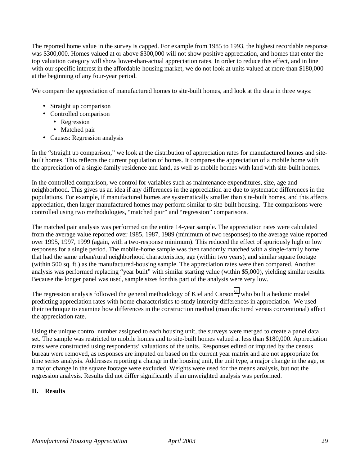The reported home value in the survey is capped. For example from 1985 to 1993, the highest recordable response was \$300,000. Homes valued at or above \$300,000 will not show positive appreciation, and homes that enter the top valuation category will show lower-than-actual appreciation rates. In order to reduce this effect, and in line with our specific interest in the affordable-housing market, we do not look at units valued at more than \$180,000 at the beginning of any four-year period.

We compare the appreciation of manufactured homes to site-built homes, and look at the data in three ways:

- Straight up comparison
- Controlled comparison
	- Regression
	- Matched pair
- Causes: Regression analysis

In the "straight up comparison," we look at the distribution of appreciation rates for manufactured homes and sitebuilt homes. This reflects the current population of homes. It compares the appreciation of a mobile home with the appreciation of a single-family residence and land, as well as mobile homes with land with site-built homes.

In the controlled comparison, we control for variables such as maintenance expenditures, size, age and neighborhood. This gives us an idea if any differences in the appreciation are due to systematic differences in the populations. For example, if manufactured homes are systematically smaller than site-built homes, and this affects appreciation, then larger manufactured homes may perform similar to site-built housing. The comparisons were controlled using two methodologies, "matched pair" and "regression" comparisons.

The matched pair analysis was performed on the entire 14-year sample. The appreciation rates were calculated from the average value reported over 1985, 1987, 1989 (minimum of two responses) to the average value reported over 1995, 1997, 1999 (again, with a two-response minimum). This reduced the effect of spuriously high or low responses for a single period. The mobile-home sample was then randomly matched with a single-family home that had the same urban/rural neighborhood characteristics, age (within two years), and similar square footage (within 500 sq. ft.) as the manufactured-housing sample. The appreciation rates were then compared. Another analysis was performed replacing "year built" with similar starting value (within \$5,000), yielding similar results. Because the longer panel was used, sample sizes for this part of the analysis were very low.

The regression analysis followed the general methodology of Kiel and Carson<sup>34</sup>, who built a hedonic model predicting appreciation rates with home characteristics to study intercity differences in appreciation. We used their technique to examine how differences in the construction method (manufactured versus conventional) affect the appreciation rate.

Using the unique control number assigned to each housing unit, the surveys were merged to create a panel data set. The sample was restricted to mobile homes and to site-built homes valued at less than \$180,000. Appreciation rates were constructed using respondents' valuations of the units. Responses edited or imputed by the census bureau were removed, as responses are imputed on based on the current year matrix and are not appropriate for time series analysis. Addresses reporting a change in the housing unit, the unit type, a major change in the age, or a major change in the square footage were excluded. Weights were used for the means analysis, but not the regression analysis. Results did not differ significantly if an unweighted analysis was performed.

## **II. Results**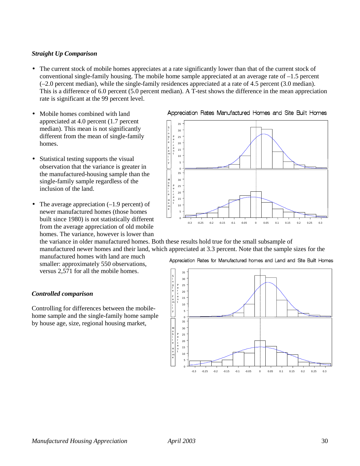## *Straight Up Comparison*

- The current stock of mobile homes appreciates at a rate significantly lower than that of the current stock of conventional single-family housing. The mobile home sample appreciated at an average rate of –1.5 percent (–2.0 percent median), while the single-family residences appreciated at a rate of 4.5 percent (3.0 median). This is a difference of 6.0 percent (5.0 percent median). A T-test shows the difference in the mean appreciation rate is significant at the 99 percent level.
- Mobile homes combined with land appreciated at 4.0 percent (1.7 percent median). This mean is not significantly different from the mean of single-family homes.
- Statistical testing supports the visual observation that the variance is greater in the manufactured-housing sample than the single-family sample regardless of the inclusion of the land.
- The average appreciation  $(-1.9 \text{ percent})$  of newer manufactured homes (those homes built since 1980) is not statistically different from the average appreciation of old mobile homes. The variance, however is lower than

#### Appreciation Rates Manufactured Homes and Site Built Homes



the variance in older manufactured homes. Both these results hold true for the small subsample of manufactured newer homes and their land, which appreciated at 3.3 percent. Note that the sample sizes for the

manufactured homes with land are much smaller: approximately 550 observations, versus 2,571 for all the mobile homes.

## *Controlled comparison*

Controlling for differences between the mobilehome sample and the single-family home sample by house age, size, regional housing market,

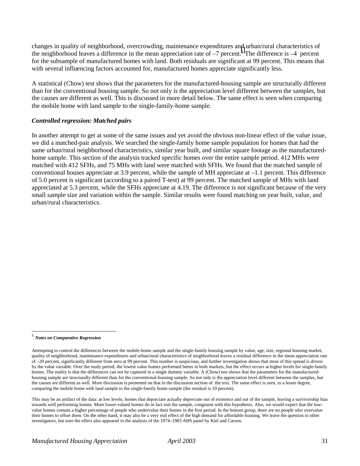changes in quality of neighborhood, overcrowding, maintenance expenditures and urban/rural characteristics of the neighborhood leaves a difference in the mean appreciation rate of  $-7$  percent.<sup>‡</sup> The difference is  $-4$  percent for the subsample of manufactured homes with land. Both residuals are significant at 99 percent. This means that with several influencing factors accounted for, manufactured homes appreciate significantly less.

A statistical (Chow) test shows that the parameters for the manufactured-housing sample are structurally different than for the conventional housing sample. So not only is the appreciation level different between the samples, but the causes are different as well. This is discussed in more detail below. The same effect is seen when comparing the mobile home with land sample to the single-family-home sample.

## *Controlled regression: Matched pairs*

In another attempt to get at some of the same issues and yet avoid the obvious non-linear effect of the value issue, we did a matched-pair analysis. We searched the single-family home sample population for homes that had the same urban/rural neighborhood characteristics, similar year built, and similar square footage as the manufacturedhome sample. This section of the analysis tracked specific homes over the entire sample period. 412 MHs were matched with 412 SFHs, and 75 MHs with land were matched with SFHs. We found that the matched sample of conventional houses appreciate at 3.9 percent, while the sample of MH appreciate at –1.1 percent. This difference of 5.0 percent is significant (according to a paired T-test) at 99 percent. The matched sample of MHs with land appreciated at 5.3 percent, while the SFHs appreciate at 4.19. The difference is not significant because of the very small sample size and variation within the sample. Similar results were found matching on year built, value, and urban/rural characteristics.

 $\overline{a}$ 

<sup>‡</sup> *Notes on Comparative Regression*

Attempting to control the differences between the mobile-home sample and the single-family housing sample by value, age, size, regional housing market, quality of neighborhood, maintenance expenditures and urban/rural characteristics of neighborhood leaves a residual difference in the mean appreciation rate of –20 percent, significantly different from zero at 99 percent. This number is suspicious, and further investigation shows that most of this spread is driven by the value variable. Over the study period, the lowest value homes performed better in both markets, but the effect occurs at higher levels for single-family homes. The reality is that the differences can not be captured in a single dummy variable. A (Chow) test shows that the parameters for the manufacturedhousing sample are structurally different than for the conventional-housing sample. So not only is the appreciation level different between the samples, but the causes are different as well. More discussion is presented on that in the discussion section of the text. The same effect is seen, to a lesser degree, comparing the mobile home with land sample to the single-family home sample (the residual is 10 percent).

This may be an artifact of the data: at low levels, homes that depreciate actually depreciate out of existence and out of the sample, leaving a survivorship bias towards well performing homes. More lower-valued homes do in fact exit the sample, congruent with this hypothesis. Also, we would expect that the lowvalue homes contain a higher percentage of people who undervalue their homes in the first period. In the bottom group, there are no people who overvalue their homes to offset them. On the other hand, it may also be a very real effect of the high demand for affordable housing. We leave the question to other investigators, but note the effect also appeared in the analysis of the 1974–1983 AHS panel by Kiel and Carson.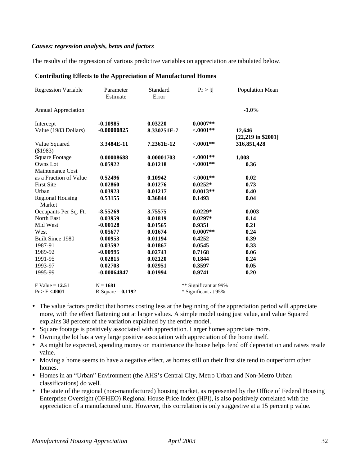## *Causes: regression analysis, betas and factors*

The results of the regression of various predictive variables on appreciation are tabulated below.

#### **Contributing Effects to the Appreciation of Manufactured Homes**

| <b>Regression Variable</b> | Parameter<br>Estimate | Standard<br>Error | Pr >  t               | Population Mean      |
|----------------------------|-----------------------|-------------------|-----------------------|----------------------|
| <b>Annual Appreciation</b> |                       |                   |                       | $-1.0%$              |
| Intercept                  | $-0.10985$            | 0.03220           | $0.0007**$            |                      |
| Value (1983 Dollars)       | $-0.00000825$         | 8.330251E-7       | ${<}.0001**$          | 12,646               |
|                            |                       |                   |                       | $[22,219$ in \$2001] |
| Value Squared              | 3.3484E-11            | 7.2361E-12        | $< .0001**$           | 316,851,428          |
| (\$1983)                   |                       |                   |                       |                      |
| <b>Square Footage</b>      | 0.00008688            | 0.00001703        | $< .0001**$           | 1,008                |
| Owns Lot                   | 0.05922               | 0.01218           | ${<}.0001**$          | 0.36                 |
| Maintenance Cost           |                       |                   |                       |                      |
| as a Fraction of Value     | 0.52496               | 0.10942           | $< .0001**$           | 0.02                 |
| <b>First Site</b>          | 0.02860               | 0.01276           | $0.0252*$             | 0.73                 |
| Urban                      | 0.03923               | 0.01217           | $0.0013**$            | 0.40                 |
| <b>Regional Housing</b>    | 0.53155               | 0.36844           | 0.1493                | 0.04                 |
| Market                     |                       |                   |                       |                      |
| Occupants Per Sq. Ft.      | $-8.55269$            | 3.75575           | $0.0229*$             | 0.003                |
| North East                 | 0.03959               | 0.01819           | $0.0297*$             | 0.14                 |
| Mid West                   | $-0.00128$            | 0.01565           | 0.9351                | 0.21                 |
| West                       | 0.05677               | 0.01674           | $0.0007**$            | 0.24                 |
| Built Since 1980           | 0.00953               | 0.01194           | 0.4252                | 0.39                 |
| 1987-91                    | 0.03592               | 0.01867           | 0.0545                | 0.33                 |
| 1989-92                    | $-0.00995$            | 0.02743           | 0.7168                | 0.06                 |
| 1991-95                    | 0.02815               | 0.02120           | 0.1844                | 0.24                 |
| 1993-97                    | 0.02703               | 0.02951           | 0.3597                | 0.05                 |
| 1995-99                    | $-0.00064847$         | 0.01994           | 0.9741                | 0.20                 |
| $F$ Value = 12.51          | $N = 1681$            |                   | ** Significant at 99% |                      |
| Pr > F < .0001             | $R-Square = 0.1192$   |                   | * Significant at 95%  |                      |

- The value factors predict that homes costing less at the beginning of the appreciation period will appreciate more, with the effect flattening out at larger values. A simple model using just value, and value Squared explains 38 percent of the variation explained by the entire model.
- Square footage is positively associated with appreciation. Larger homes appreciate more.
- Owning the lot has a very large positive association with appreciation of the home itself.
- As might be expected, spending money on maintenance the house helps fend off depreciation and raises resale value.
- Moving a home seems to have a negative effect, as homes still on their first site tend to outperform other homes.
- Homes in an "Urban" Environment (the AHS's Central City, Metro Urban and Non-Metro Urban classifications) do well.
- The state of the regional (non-manufactured) housing market, as represented by the Office of Federal Housing Enterprise Oversight (OFHEO) Regional House Price Index (HPI), is also positively correlated with the appreciation of a manufactured unit. However, this correlation is only suggestive at a 15 percent p value.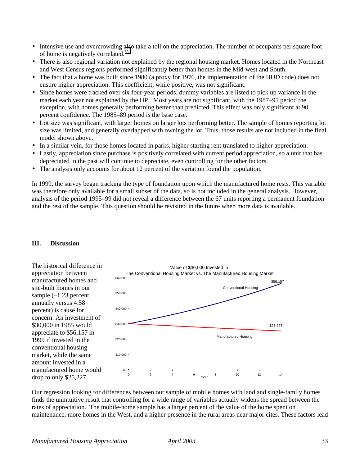- Intensive use and overcrowding also take a toll on the appreciation. The number of occupants per square foot of home is negatively correlated.<sup>[35](#page-43-0)</sup>
- There is also regional variation not explained by the regional housing market. Homes located in the Northeast and West Census regions performed significantly better than homes in the Mid-west and South.
- The fact that a home was built since 1980 (a proxy for 1976, the implementation of the HUD code) does not ensure higher appreciation. This coefficient, while positive, was not significant.
- Since homes were tracked over six four-year periods, dummy variables are listed to pick up variance in the market each year not explained by the HPI. Most years are not significant, with the 1987–91 period the exception, with homes generally performing better than predicted. This effect was only significant at 90 percent confidence. The 1985–89 period is the base case.
- Lot size was significant, with larger homes on larger lots performing better. The sample of homes reporting lot size was limited, and generally overlapped with owning the lot. Thus, those results are not included in the final model shown above.
- In a similar vein, for those homes located in parks, higher starting rent translated to higher appreciation.
- Lastly, appreciation since purchase is positively correlated with current period appreciation, so a unit that has depreciated in the past will continue to depreciate, even controlling for the other factors.
- The analysis only accounts for about 12 percent of the variation found the population.

In 1999, the survey began tracking the type of foundation upon which the manufactured home rests. This variable was therefore only available for a small subset of the data, so is not included in the general analysis. However, analysis of the period 1995–99 did not reveal a difference between the 67 units reporting a permanent foundation and the rest of the sample. This question should be revisited in the future when more data is available.





Our regression looking for differences between our sample of mobile homes with land and single-family homes finds the unintuitive result that controlling for a wide range of variables actually widens the spread between the rates of appreciation. The mobile-home sample has a larger percent of the value of the home spent on maintenance, more homes in the West, and a higher presence in the rural areas near major cites. These factors lead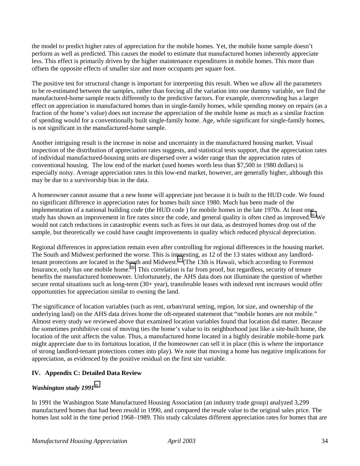the model to predict higher rates of appreciation for the mobile homes. Yet, the mobile home sample doesn't perform as well as predicted. This causes the model to estimate that manufactured homes inherently appreciate less. This effect is primarily driven by the higher maintenance expenditures in mobile homes. This more than offsets the opposite effects of smaller size and more occupants per square foot.

The positive test for structural change is important for interpreting this result. When we allow all the parameters to be re-estimated between the samples, rather than forcing all the variation into one dummy variable, we find the manufactured-home sample reacts differently to the predictive factors. For example, overcrowding has a larger effect on appreciation in manufactured homes than in single-family homes, while spending money on repairs (as a fraction of the home's value) does not increase the appreciation of the mobile home as much as a similar fraction of spending would for a conventionally built single-family home. Age, while significant for single-family homes, is not significant in the manufactured-home sample.

Another intriguing result is the increase in noise and uncertainty in the manufactured housing market. Visual inspection of the distribution of appreciation rates suggests, and statistical tests support, that the appreciation rates of individual manufactured-housing units are dispersed over a wider range than the appreciation rates of conventional housing. The low end of the market (used homes worth less than \$7,500 in 1980 dollars) is especially noisy. Average appreciation rates in this low-end market, however, are generally higher, although this may be due to a survivorship bias in the data.

A homeowner cannot assume that a new home will appreciate just because it is built to the HUD code. We found no significant difference in appreciation rates for homes built since 1980. Much has been made of the implementation of a national building code (the HUD code ) for mobile homes in the late 1970s. At least one study has shown an improvement in fire rates since the code, and general quality is often cited as improved.<sup>36</sup> We would not catch reductions in catastrophic events such as fires in our data, as destroyed homes drop out of the sample, but theoretically we could have caught improvements in quality which reduced physical depreciation.

Regional differences in appreciation remain even after controlling for regional differences in the housing market. The South and Midwest performed the worse. This is interesting, as 12 of the 13 states without any landlordtenant protections are located in the South and Midwest.<sup>37</sup> (The 13th is Hawaii, which according to Foremost Insurance, only has one mobile home.<sup>38</sup>) This correlation is far from proof, but regardless, security of tenure benefits the manufactured homeowner. Unfortunately, the AHS data does not illuminate the question of whether secure rental situations such as long-term (30+ year), transferable leases with indexed rent increases would offer opportunities for appreciation similar to owning the land.

The significance of location variables (such as rent, urban/rural setting, region, lot size, and ownership of the underlying land) on the AHS data drives home the oft-repeated statement that "mobile homes are not mobile." Almost every study we reviewed above that examined location variables found that location did matter. Because the sometimes prohibitive cost of moving ties the home's value to its neighborhood just like a site-built home, the location of the unit affects the value. Thus, a manufactured home located in a highly desirable mobile-home park might appreciate due to its fortuitous location, if the homeowner can sell it in place (this is where the importance of strong landlord-tenant protections comes into play). We note that moving a home has negative implications for appreciation, as evidenced by the positive residual on the first site variable.

## **IV. Appendix C: Detailed Data Review**

## *Washington study 1991*[39](#page-43-0)

In 1991 the Washington State Manufactured Housing Association (an industry trade group) analyzed 3,299 manufactured homes that had been resold in 1990, and compared the resale value to the original sales price. The homes last sold in the time period 1968–1989. This study calculates different appreciation rates for homes that are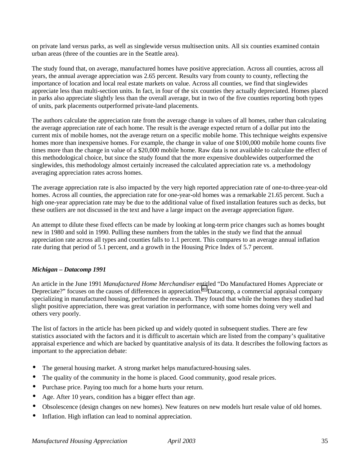on private land versus parks, as well as singlewide versus multisection units. All six counties examined contain urban areas (three of the counties are in the Seattle area).

The study found that, on average, manufactured homes have positive appreciation. Across all counties, across all years, the annual average appreciation was 2.65 percent. Results vary from county to county, reflecting the importance of location and local real estate markets on value. Across all counties, we find that singlewides appreciate less than multi-section units. In fact, in four of the six counties they actually depreciated. Homes placed in parks also appreciate slightly less than the overall average, but in two of the five counties reporting both types of units, park placements outperformed private-land placements.

The authors calculate the appreciation rate from the average change in values of all homes, rather than calculating the average appreciation rate of each home. The result is the average expected return of a dollar put into the current mix of mobile homes, not the average return on a specific mobile home. This technique weights expensive homes more than inexpensive homes. For example, the change in value of one \$100,000 mobile home counts five times more than the change in value of a \$20,000 mobile home. Raw data is not available to calculate the effect of this methodological choice, but since the study found that the more expensive doublewides outperformed the singlewides, this methodology almost certainly increased the calculated appreciation rate vs. a methodology averaging appreciation rates across homes.

The average appreciation rate is also impacted by the very high reported appreciation rate of one-to-three-year-old homes. Across all counties, the appreciation rate for one-year-old homes was a remarkable 21.65 percent. Such a high one-year appreciation rate may be due to the additional value of fixed installation features such as decks, but these outliers are not discussed in the text and have a large impact on the average appreciation figure.

An attempt to dilute these fixed effects can be made by looking at long-term price changes such as homes bought new in 1980 and sold in 1990. Pulling these numbers from the tables in the study we find that the annual appreciation rate across all types and counties falls to 1.1 percent. This compares to an average annual inflation rate during that period of 5.1 percent, and a growth in the Housing Price Index of 5.7 percent.

## *Michigan – Datacomp 1991*

An article in the June 1991 *Manufactured Home Merchandiser* entitled "Do Manufactured Homes Appreciate or Depreciate?" focuses on the causes of differences in appreciation[.40](#page-43-0) Datacomp, a commercial appraisal company specializing in manufactured housing, performed the research. They found that while the homes they studied had slight positive appreciation, there was great variation in performance, with some homes doing very well and others very poorly.

The list of factors in the article has been picked up and widely quoted in subsequent studies. There are few statistics associated with the factors and it is difficult to ascertain which are listed from the company's qualitative appraisal experience and which are backed by quantitative analysis of its data. It describes the following factors as important to the appreciation debate:

- The general housing market. A strong market helps manufactured-housing sales.
- The quality of the community in the home is placed. Good community, good resale prices.
- Purchase price. Paying too much for a home hurts your return.
- Age. After 10 years, condition has a bigger effect than age.
- Obsolescence (design changes on new homes). New features on new models hurt resale value of old homes.
- Inflation. High inflation can lead to nominal appreciation.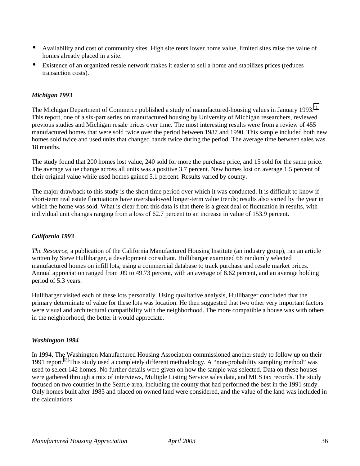- Availability and cost of community sites. High site rents lower home value, limited sites raise the value of homes already placed in a site.
- Existence of an organized resale network makes it easier to sell a home and stabilizes prices (reduces transaction costs).

## *Michigan 1993*

The Michigan Department of Commerce published a study of manufactured-housing values in January 1993.<sup>[41](#page-43-0)</sup> This report, one of a six-part series on manufactured housing by University of Michigan researchers, reviewed previous studies and Michigan resale prices over time. The most interesting results were from a review of 455 manufactured homes that were sold twice over the period between 1987 and 1990. This sample included both new homes sold twice and used units that changed hands twice during the period. The average time between sales was 18 months.

The study found that 200 homes lost value, 240 sold for more the purchase price, and 15 sold for the same price. The average value change across all units was a positive 3.7 percent. New homes lost on average 1.5 percent of their original value while used homes gained 5.1 percent. Results varied by county.

The major drawback to this study is the short time period over which it was conducted. It is difficult to know if short-term real estate fluctuations have overshadowed longer-term value trends; results also varied by the year in which the home was sold. What is clear from this data is that there is a great deal of fluctuation in results, with individual unit changes ranging from a loss of 62.7 percent to an increase in value of 153.9 percent.

## *California 1993*

*The Resource,* a publication of the California Manufactured Housing Institute (an industry group), ran an article written by Steve Hullibarger, a development consultant. Hullibarger examined 68 randomly selected manufactured homes on infill lots, using a commercial database to track purchase and resale market prices. Annual appreciation ranged from .09 to 49.73 percent, with an average of 8.62 percent, and an average holding period of 5.3 years.

Hullibarger visited each of these lots personally. Using qualitative analysis, Hullibarger concluded that the primary determinate of value for these lots was location. He then suggested that two other very important factors were visual and architectural compatibility with the neighborhood. The more compatible a house was with others in the neighborhood, the better it would appreciate.

#### *Washington 1994*

In 1994, The Washington Manufactured Housing Association commissioned another study to follow up on their 1991 report.<sup>42</sup> This study used a completely different methodology. A "non-probability sampling method" was used to select 142 homes. No further details were given on how the sample was selected. Data on these houses were gathered through a mix of interviews, Multiple Listing Service sales data, and MLS tax records. The study focused on two counties in the Seattle area, including the county that had performed the best in the 1991 study. Only homes built after 1985 and placed on owned land were considered, and the value of the land was included in the calculations.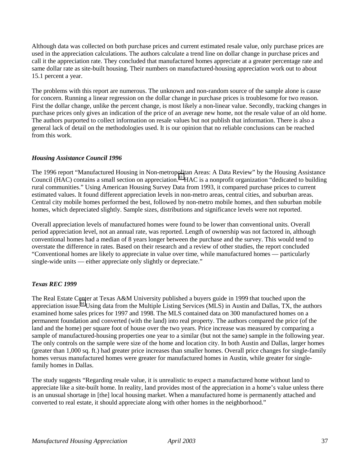Although data was collected on both purchase prices and current estimated resale value, only purchase prices are used in the appreciation calculations. The authors calculate a trend line on dollar change in purchase prices and call it the appreciation rate. They concluded that manufactured homes appreciate at a greater percentage rate and same dollar rate as site-built housing. Their numbers on manufactured-housing appreciation work out to about 15.1 percent a year.

The problems with this report are numerous. The unknown and non-random source of the sample alone is cause for concern. Running a linear regression on the dollar change in purchase prices is troublesome for two reason. First the dollar change, unlike the percent change, is most likely a non-linear value. Secondly, tracking changes in purchase prices only gives an indication of the price of an average new home, not the resale value of an old home. The authors purported to collect information on resale values but not publish that information. There is also a general lack of detail on the methodologies used. It is our opinion that no reliable conclusions can be reached from this work.

## *Housing Assistance Council 1996*

The 1996 report "Manufactured Housing in Non-metropolitan Areas: A Data Review" by the Housing Assistance Council (HAC) contains a small section on appreciation.<sup>43</sup> HAC is a nonprofit organization "dedicated to building rural communities." Using American Housing Survey Data from 1993, it compared purchase prices to current estimated values. It found different appreciation levels in non-metro areas, central cities, and suburban areas. Central city mobile homes performed the best, followed by non-metro mobile homes, and then suburban mobile homes, which depreciated slightly. Sample sizes, distributions and significance levels were not reported.

Overall appreciation levels of manufactured homes were found to be lower than conventional units. Overall period appreciation level, not an annual rate, was reported. Length of ownership was not factored in, although conventional homes had a median of 8 years longer between the purchase and the survey. This would tend to overstate the difference in rates. Based on their research and a review of other studies, the report concluded "Conventional homes are likely to appreciate in value over time, while manufactured homes — particularly single-wide units — either appreciate only slightly or depreciate."

## *Texas REC 1999*

The Real Estate Center at Texas A&M University published a buyers guide in 1999 that touched upon the appreciation issue.[44](#page-43-0) Using data from the Multiple Listing Services (MLS) in Austin and Dallas, TX, the authors examined home sales prices for 1997 and 1998. The MLS contained data on 300 manufactured homes on a permanent foundation and converted (with the land) into real property. The authors compared the price (of the land and the home) per square foot of house over the two years. Price increase was measured by comparing a sample of manufactured-housing properties one year to a similar (but not the same) sample in the following year. The only controls on the sample were size of the home and location city. In both Austin and Dallas, larger homes (greater than 1,000 sq. ft.) had greater price increases than smaller homes. Overall price changes for single-family homes versus manufactured homes were greater for manufactured homes in Austin, while greater for singlefamily homes in Dallas.

The study suggests "Regarding resale value, it is unrealistic to expect a manufactured home without land to appreciate like a site-built home. In reality, land provides most of the appreciation in a home's value unless there is an unusual shortage in [the] local housing market. When a manufactured home is permanently attached and converted to real estate, it should appreciate along with other homes in the neighborhood."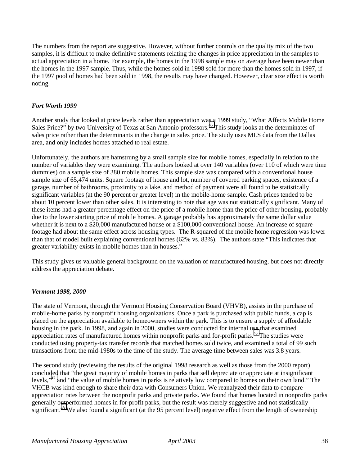The numbers from the report are suggestive. However, without further controls on the quality mix of the two samples, it is difficult to make definitive statements relating the changes in price appreciation in the samples to actual appreciation in a home. For example, the homes in the 1998 sample may on average have been newer than the homes in the 1997 sample. Thus, while the homes sold in 1998 sold for more than the homes sold in 1997, if the 1997 pool of homes had been sold in 1998, the results may have changed. However, clear size effect is worth noting.

## *Fort Worth 1999*

Another study that looked at price levels rather than appreciation was a 1999 study, "What Affects Mobile Home Sales Price?" by two University of Texas at San Antonio professors.<sup>45</sup> This study looks at the determinates of sales price rather than the determinants in the change in sales price. The study uses MLS data from the Dallas area, and only includes homes attached to real estate.

Unfortunately, the authors are hamstrung by a small sample size for mobile homes, especially in relation to the number of variables they were examining. The authors looked at over 140 variables (over 110 of which were time dummies) on a sample size of 380 mobile homes. This sample size was compared with a conventional house sample size of 65,474 units. Square footage of house and lot, number of covered parking spaces, existence of a garage, number of bathrooms, proximity to a lake, and method of payment were all found to be statistically significant variables (at the 90 percent or greater level) in the mobile-home sample. Cash prices tended to be about 10 percent lower than other sales. It is interesting to note that age was not statistically significant. Many of these items had a greater percentage effect on the price of a mobile home than the price of other housing, probably due to the lower starting price of mobile homes. A garage probably has approximately the same dollar value whether it is next to a \$20,000 manufactured house or a \$100,000 conventional house. An increase of square footage had about the same effect across housing types. The R-squared of the mobile home regression was lower than that of model built explaining conventional homes (62% vs. 83%). The authors state "This indicates that greater variability exists in mobile homes than in houses."

This study gives us valuable general background on the valuation of manufactured housing, but does not directly address the appreciation debate.

## *Vermont 1998, 2000*

The state of Vermont, through the Vermont Housing Conservation Board (VHVB), assists in the purchase of mobile-home parks by nonprofit housing organizations. Once a park is purchased with public funds, a cap is placed on the appreciation available to homeowners within the park. This is to ensure a supply of affordable housing in the park. In 1998, and again in 2000, studies were conducted for internal use that examined appreciation rates of manufactured homes within nonprofit parks and for-profit parks.<sup>46</sup> The studies were conducted using property-tax transfer records that matched homes sold twice, and examined a total of 99 such transactions from the mid-1980s to the time of the study. The average time between sales was 3.8 years.

The second study (reviewing the results of the original 1998 research as well as those from the 2000 report) concluded that "the great majority of mobile homes in parks that sell depreciate or appreciate at insignificant levels,"[47 a](#page-43-0)nd "the value of mobile homes in parks is relatively low compared to homes on their own land." The VHCB was kind enough to share their data with Consumers Union. We reanalyzed their data to compare appreciation rates between the nonprofit parks and private parks. We found that homes located in nonprofits parks generally outperformed homes in for-profit parks, but the result was merely suggestive and not statistically significant.<sup>48</sup> We also found a significant (at the 95 percent level) negative effect from the length of ownership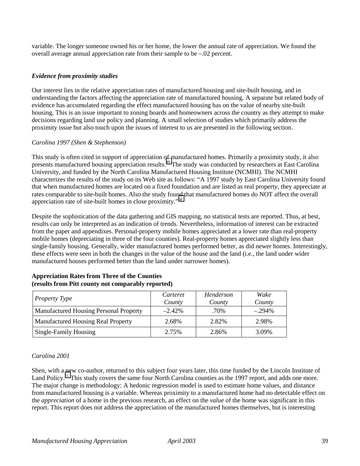variable. The longer someone owned his or her home, the lower the annual rate of appreciation. We found the overall average annual appreciation rate from their sample to be –.02 percent.

## *Evidence from proximity studies*

Our interest lies in the relative appreciation rates of manufactured housing and site-built housing, and in understanding the factors affecting the appreciation rate of manufactured housing. A separate but related body of evidence has accumulated regarding the effect manufactured housing has on the value of nearby site-built housing. This is an issue important to zoning boards and homeowners across the country as they attempt to make decisions regarding land use policy and planning. A small selection of studies which primarily address the proximity issue but also touch upon the issues of interest to us are presented in the following section.

## *Carolina 1997 (Shen & Stephenson)*

This study is often cited in support of appreciation of manufactured homes. Primarily a proximity study, it also presents manufactured housing appreciation results.[49 T](#page-43-0)he study was conducted by researchers at East Carolina University, and funded by the North Carolina Manufactured Housing Institute (NCMHI). The NCMHI characterizes the results of the study on its Web site as follows: "A 1997 study by East Carolina University found that when manufactured homes are located on a fixed foundation and are listed as real property, they appreciate at rates comparable to site-built homes. Also the study found that manufactured homes do NOT affect the overall appreciation rate of site-built homes in close proximity."[50](#page-43-0)

Despite the sophistication of the data gathering and GIS mapping, no statistical tests are reported. Thus, at best, results can only be interpreted as an indication of trends. Nevertheless, information of interest can be extracted from the paper and appendixes. Personal-property mobile homes appreciated at a lower rate than real-property mobile homes (depreciating in three of the four counties). Real-property homes appreciated slightly less than single-family housing. Generally, wider manufactured homes performed better, as did newer homes. Interestingly, these effects were seen in both the changes in the value of the house and the land (i.e., the land under wider manufactured houses performed better than the land under narrower homes).

| <b>Property Type</b>                          | Carteret<br>County | Henderson<br>County | Wake<br>County |
|-----------------------------------------------|--------------------|---------------------|----------------|
| <b>Manufactured Housing Personal Property</b> | $-2.42\%$          | .70%                | $-.294\%$      |
| <b>Manufactured Housing Real Property</b>     | 2.68%              | 2.82%               | 2.98%          |
| Single-Family Housing                         | 2.75%              | 2.86%               | 3.09%          |

## **Appreciation Rates from Three of the Counties (results from Pitt county not comparably reported)**

## *Carolina 2001*

Shen, with a new co-author, returned to this subject four years later, this time funded by the Lincoln Institute of Land Policy.<sup>51</sup> This study covers the same four North Carolina counties as the 1997 report, and adds one more. The major change is methodology: A hedonic regression model is used to estimate home values, and distance from manufactured housing is a variable. Whereas proximity to a manufactured home had no detectable effect on the *appreciation* of a home in the previous research, an effect on the *value* of the home was significant in this report. This report does not address the appreciation of the manufactured homes themselves, but is interesting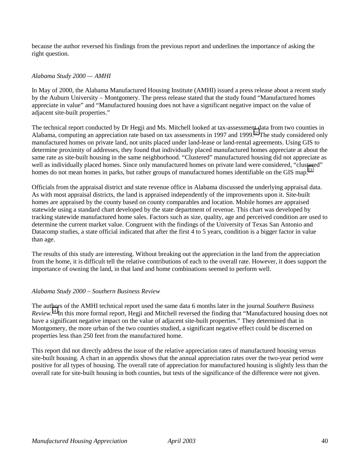because the author reversed his findings from the previous report and underlines the importance of asking the right question.

## *Alabama Study 2000 — AMHI*

In May of 2000, the Alabama Manufactured Housing Institute (AMHI) issued a press release about a recent study by the Auburn University – Montgomery. The press release stated that the study found "Manufactured homes appreciate in value" and "Manufactured housing does not have a significant negative impact on the value of adjacent site-built properties."

The technical report conducted by Dr Hegji and Ms. Mitchell looked at tax-assessment data from two counties in Alabama, computing an appreciation rate based on tax assessments in 1997 and 1999.<sup>52</sup> The study considered only manufactured homes on private land, not units placed under land-lease or land-rental agreements. Using GIS to determine proximity of addresses, they found that individually placed manufactured homes appreciate at about the same rate as site-built housing in the same neighborhood. "Clustered" manufactured housing did not appreciate as well as individually placed homes. Since only manufactured homes on private land were considered, "clustered" homes do not mean homes in parks, but rather groups of manufactured homes identifiable on the GIS map.<sup>[53](#page-43-0)</sup>

Officials from the appraisal district and state revenue office in Alabama discussed the underlying appraisal data. As with most appraisal districts, the land is appraised independently of the improvements upon it. Site-built homes are appraised by the county based on county comparables and location. Mobile homes are appraised statewide using a standard chart developed by the state department of revenue. This chart was developed by tracking statewide manufactured home sales. Factors such as size, quality, age and perceived condition are used to determine the current market value. Congruent with the findings of the University of Texas San Antonio and Datacomp studies, a state official indicated that after the first 4 to 5 years, condition is a bigger factor in value than age.

The results of this study are interesting. Without breaking out the appreciation in the land from the appreciation from the home, it is difficult tell the relative contributions of each to the overall rate. However, it does support the importance of owning the land, in that land and home combinations seemed to perform well.

#### *Alabama Study 2000 – Southern Business Review*

The authors of the AMHI technical report used the same data 6 months later in the journal *Southern Business Review*. [54](#page-43-0) In this more formal report, Hegji and Mitchell reversed the finding that "Manufactured housing does not have a significant negative impact on the value of adjacent site-built properties." They determined that in Montgomery, the more urban of the two counties studied, a significant negative effect could be discerned on properties less than 250 feet from the manufactured home.

This report did not directly address the issue of the relative appreciation rates of manufactured housing versus site-built housing. A chart in an appendix shows that the annual appreciation rates over the two-year period were positive for all types of housing. The overall rate of appreciation for manufactured housing is slightly less than the overall rate for site-built housing in both counties, but tests of the significance of the difference were not given.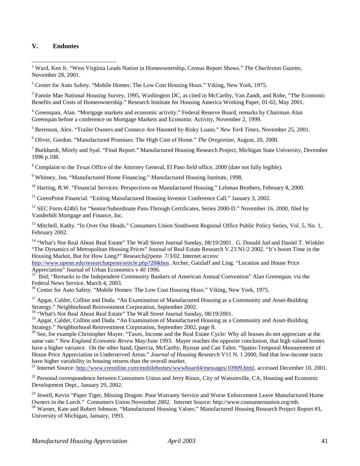## **V. Endnotes**

 $\overline{a}$ 

<sup>2</sup> Center for Auto Safety. "Mobile Homes: The Low Cost Housing Hoax." Viking, New York, 1975.

<sup>3</sup> Fannie Mae National Housing Survey, 1995, Washington DC, as cited in McCarthy, Van Zandt, and Rohe, "The Economic Benefits and Costs of Homeownership." Research Institute for Housing America Working Paper, 01-02, May 2001.

<sup>4</sup> Greenspan, Alan. "Mortgage markets and economic activity." Federal Reserve Board, remarks by Chairman Alan Greenspan before a conference on Mortgage Markets and Economic Activity, November 2, 1999.

5 Berenson, Alex. "Trailer Owners and Conseco Are Haunted by Risky Loans." *New York Times*, November 25, 2001.

6 Oliver, Gordon. "Manufactured Promises: The High Cost of Home." *The Oregonian*, August, 20, 2000.

<sup>7</sup> Burkhardt, Mirely and Syal. "Final Report." Manufactured Housing Research Project, Michigan State University, December 1996 p.108.

<sup>8</sup> Complaint to the Texas Office of the Attorney General, El Paso field office, 2000 (date not fully legible).

<sup>9</sup> Whitney, Jon. "Manufactured Home Financing." Manufactured Housing Institute, 1998.

<sup>10</sup> Harting, B.W. "Financial Services: Perspectives on Manufactured Housing." Lehman Brothers, February 8, 2000.

<sup>11</sup> GreenPoint Financial. "Exiting Manufactured Housing Investor Conference Call." January 3, 2002.

 $12$  SEC Form 424b5 for "Senior/Subordinate Pass-Through Certificates, Series 2000-D." November 16, 2000, filed by Vanderbilt Mortgage and Finance, Inc.

<sup>13</sup> Mitchell, Kathy. "In Over Our Heads." Consumers Union Southwest Regional Office Public Policy Series, Vol. 5, No. 1, February 2002.

<sup>14</sup> "What's Not Real About Real Estate" The Wall Street Journal Sunday, 08/19/2001. G. Donald Jud and Daniel T. Winkler "The Dynamics of Metropolitan Housing Prices" Journal of Real Estate Research V.23 N1/2 2002. "It's boom Time in the Housing Market, But for How Long?" Research@penn 7/3/02. Internet access:

http://www.upenn.edu/researchatpenn/article.php?28&bus. Archer, Gatzlaff and Ling. "Location and House Price Appreciation" Journal of Urban Economics v 40 1996.

<sup>15</sup> Ibid; "Remarks to the Independent Community Bankers of American Annual Convention" Alan Greenspan. via the Federal News Service. March 4, 2003.

<sup>16</sup> Center for Auto Safety. "Mobile Homes: The Low Cost Housing Hoax." Viking, New York, 1975.

<sup>17</sup> Apgar, Calder, Collins and Duda. "An Examination of Manufactured Housing as a Community and Asset-Building Strategy." Neighborhood Reinvestment Corporation, September 2002.

<sup>18</sup> "What's Not Real About Real Estate" The Wall Street Journal Sunday, 08/19/2001.

<sup>19</sup> Apgar, Calder, Collins and Duda. "An Examination of Manufactured Housing as a Community and Asset-Building Strategy." Neighborhood Reinvestment Corporation, September 2002, page 8.

<sup>20</sup> See, for example Christopher Mayer. "Taxes, Income and the Real Estate Cycle: Why all houses do not appreciate at the same rate." *New England Economic Revew* May/June 1993. Mayer reaches the opposite conclusion, that high valued homes have a higher variance. On the other hand, Quercia, McCarthy, Ryznar and Can Talen. "Spatio-Temporal Measurement of House Price Appreciation in Underserved Areas." *Journal of Housing Research* V11 N. 1 2000, find that low-income tracts have higher variability in housing returns than the overall market.

<sup>21</sup> Internet Source: http://www.creonline.com/mobilehomes/wwwboard4/messages/10909.html, accessed December 10, 2001.

 $^{22}$  Personal correspondence between Consumers Union and Jerry Rioux, City of Watsonville, CA, Housing and Economic Development Dept., January 29, 2002.

<sup>23</sup> Jewell, Kevin "Paper Tiger, Missing Dragon: Poor Warranty Service and Worse Enforcement Leave Manufactured Home Owners in the Lurch." Consumers Union November 2002. Internet Source: http://www.consumersunion.org/mh.

<sup>24</sup> Warner, Kate and Robert Johnson. "Manufactured Housing Values." Manufactured Housing Research Project Report #3, University of Michigan, January, 1993.

<sup>&</sup>lt;sup>1</sup> Ward, Ken Jr. "West Virginia Leads Nation in Homeownership, Census Report Shows." The Charleston Gazette, November 28, 2001.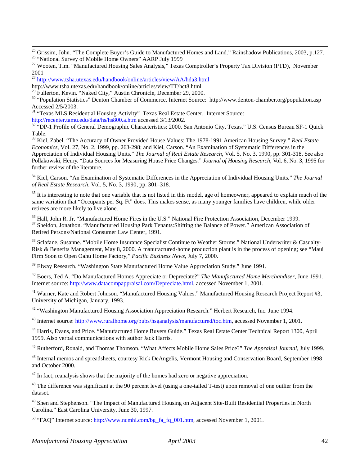$^{25}$  Grissim, John. "The Complete Buyer's Guide to Manufactured Homes and Land." Rainshadow Publications, 2003, p.127.

<sup>26</sup> "National Survey of Mobile Home Owners" AARP July 1999

<sup>28</sup> http://www.tsha.utexas.edu/handbook/online/articles/view/AA/hda3.html

http://www.tsha.utexas.edu/handbook/online/articles/view/TT/hct8.html

 $29$  Fullerton, Kevin. "Naked City," Austin Chronicle, December 29, 2000.

<sup>30</sup> "Population Statistics" Denton Chamber of Commerce. Internet Source: http://www.denton-chamber.org/population.asp Accessed 2/5/2003.

<sup>31</sup> "Texas MLS Residential Housing Activity" Texas Real Estate Center. Internet Source:

http://recenter.tamu.edu/data/hs/hs800.a.htm accessed 3/13/2002.<br><sup>32</sup> "DP-1 Profile of General Demographic Characteristics: 2000. San Antonio City, Texas." U.S. Census Bureau SF-1 Quick Table.

33 Kiel, Zabel. "The Accuracy of Owner Provided House Values: The 1978-1991 American Housing Survey." *Real Estate Economics,* Vol. 27, No. 2, 1999, pp. 263-298; and Kiel, Carson. "An Examination of Systematic Differences in the Appreciation of Individual Housing Units." *The Journal of Real Estate Research,* Vol. 5, No. 3, 1990, pp. 301-318. See also Pollakowski, Henry. "Data Sources for Measuring House Price Changes." *Journal of Housing Research,* Vol. 6, No. 3, 1995 for further review of the literature.

34 Kiel, Carson. "An Examination of Systematic Differences in the Appreciation of Individual Housing Units." *The Journal of Real Estate Research,* Vol. 5, No. 3, 1990, pp. 301–318.

 $35$  It is interesting to note that one variable that is not listed in this model, age of homeowner, appeared to explain much of the same variation that "Occupants per Sq. Ft" does. This makes sense, as many younger families have children, while older retirees are more likely to live alone.

<sup>36</sup> Hall, John R. Jr. "Manufactured Home Fires in the U.S." National Fire Protection Association, December 1999. <sup>37</sup> Sheldon, Jonathon. "Manufactured Housing Park Tenants: Shifting the Balance of Power." American Association of Retired Persons/National Consumer Law Center, 1991.

<sup>38</sup> Sclafane, Susanne. "Mobile Home Insurance Specialist Continue to Weather Storms." National Underwriter & Casualty-Risk & Benefits Management, May 8, 2000. A manufactured-home production plant is in the process of opening; see "Maui Firm Soon to Open Oahu Home Factory," *Pacific Business News,* July 7, 2000.

 $39$  Elway Research. "Washington State Manufactured Home Value Appreciation Study." June 1991.

40 Boers, Ted A. "Do Manufactured Homes Appreciate or Depreciate?" *The Manufactured Home Merchandiser*, June 1991. Internet source: http://www.datacompappraisal.com/Depreciate.html, accessed November 1, 2001.

<sup>41</sup> Warner, Kate and Robert Johnson. "Manufactured Housing Values." Manufactured Housing Research Project Report #3, University of Michigan, January, 1993.

<sup>42</sup> "Washington Manufactured Housing Association Appreciation Research." Herbert Research, Inc. June 1994.

43 Internet source: http://www.ruralhome.org/pubs/hsganalysis/manufactured/toc.htm, accessed November 1, 2001.

44 Harris, Evans, and Price. "Manufactured Home Buyers Guide." Texas Real Estate Center Technical Report 1300, April 1999. Also verbal communications with author Jack Harris.

45 Rutherford, Ronald, and Thomas Thomson. "What Affects Mobile Home Sales Price?" *The Appraisal Journal,* July 1999.

<sup>46</sup> Internal memos and spreadsheets, courtesy Rick DeAngelis, Vermont Housing and Conservation Board, September 1998 and October 2000.

 $47$  In fact, reanalysis shows that the majority of the homes had zero or negative appreciation.

 $48$  The difference was significant at the 90 percent level (using a one-tailed T-test) upon removal of one outlier from the dataset.

<sup>49</sup> Shen and Stephenson. "The Impact of Manufactured Housing on Adjacent Site-Built Residential Properties in North Carolina." East Carolina University, June 30, 1997.

<sup>50</sup> "FAQ" Internet source: http://www.ncmhi.com/bg\_fa\_fq\_001.htm, accessed November 1, 2001.

<sup>&</sup>lt;sup>27</sup> Wooten, Tim. "Manufactured Housing Sales Analysis," Texas Comptroller's Property Tax Division (PTD), November 2001